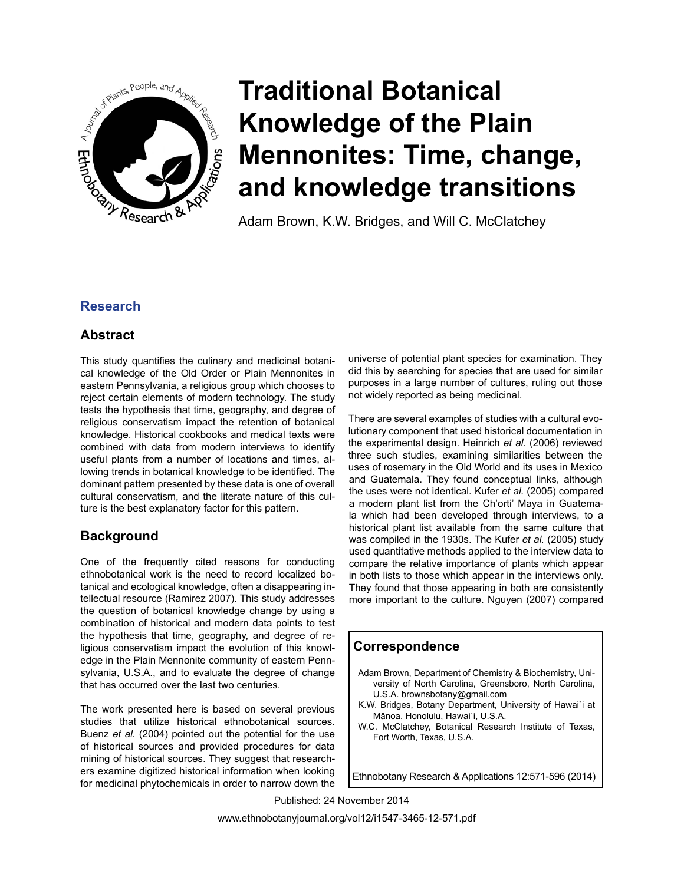

Adam Brown, K.W. Bridges, and Will C. McClatchey

### **Research**

### **Abstract**

This study quantifies the culinary and medicinal botanical knowledge of the Old Order or Plain Mennonites in eastern Pennsylvania, a religious group which chooses to reject certain elements of modern technology. The study tests the hypothesis that time, geography, and degree of religious conservatism impact the retention of botanical knowledge. Historical cookbooks and medical texts were combined with data from modern interviews to identify useful plants from a number of locations and times, allowing trends in botanical knowledge to be identified. The dominant pattern presented by these data is one of overall cultural conservatism, and the literate nature of this culture is the best explanatory factor for this pattern.

### **Background**

One of the frequently cited reasons for conducting ethnobotanical work is the need to record localized botanical and ecological knowledge, often a disappearing intellectual resource (Ramirez 2007). This study addresses the question of botanical knowledge change by using a combination of historical and modern data points to test the hypothesis that time, geography, and degree of religious conservatism impact the evolution of this knowledge in the Plain Mennonite community of eastern Pennsylvania, U.S.A., and to evaluate the degree of change that has occurred over the last two centuries.

The work presented here is based on several previous studies that utilize historical ethnobotanical sources. Buenz *et al.* (2004) pointed out the potential for the use of historical sources and provided procedures for data mining of historical sources. They suggest that researchers examine digitized historical information when looking for medicinal phytochemicals in order to narrow down the universe of potential plant species for examination. They did this by searching for species that are used for similar purposes in a large number of cultures, ruling out those not widely reported as being medicinal.

There are several examples of studies with a cultural evolutionary component that used historical documentation in the experimental design. Heinrich *et al.* (2006) reviewed three such studies, examining similarities between the uses of rosemary in the Old World and its uses in Mexico and Guatemala. They found conceptual links, although the uses were not identical. Kufer *et al.* (2005) compared a modern plant list from the Ch'orti' Maya in Guatemala which had been developed through interviews, to a historical plant list available from the same culture that was compiled in the 1930s. The Kufer *et al.* (2005) study used quantitative methods applied to the interview data to compare the relative importance of plants which appear in both lists to those which appear in the interviews only. They found that those appearing in both are consistently more important to the culture. Nguyen (2007) compared

### **Correspondence**

- Adam Brown, Department of Chemistry & Biochemistry, University of North Carolina, Greensboro, North Carolina, U.S.A. brownsbotany@gmail.com
- K.W. Bridges, Botany Department, University of Hawai`i at Mānoa, Honolulu, Hawai`i, U.S.A.
- W.C. McClatchey, Botanical Research Institute of Texas, Fort Worth, Texas, U.S.A.

Ethnobotany Research & Applications 12:571-596 (2014)

Published: 24 November 2014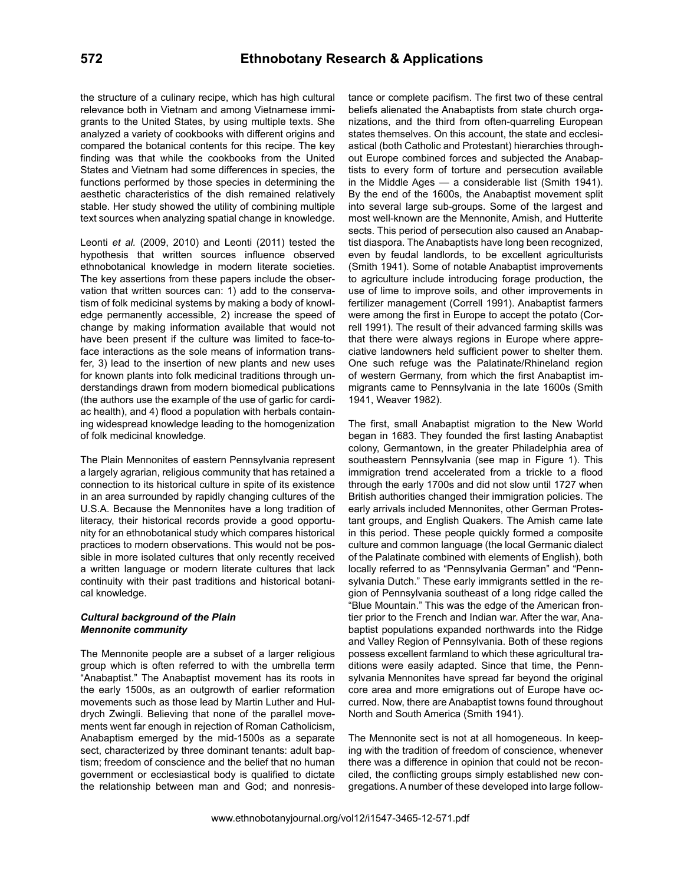the structure of a culinary recipe, which has high cultural relevance both in Vietnam and among Vietnamese immigrants to the United States, by using multiple texts. She analyzed a variety of cookbooks with different origins and compared the botanical contents for this recipe. The key finding was that while the cookbooks from the United States and Vietnam had some differences in species, the functions performed by those species in determining the aesthetic characteristics of the dish remained relatively stable. Her study showed the utility of combining multiple text sources when analyzing spatial change in knowledge.

Leonti *et al.* (2009, 2010) and Leonti (2011) tested the hypothesis that written sources influence observed ethnobotanical knowledge in modern literate societies. The key assertions from these papers include the observation that written sources can: 1) add to the conservatism of folk medicinal systems by making a body of knowledge permanently accessible, 2) increase the speed of change by making information available that would not have been present if the culture was limited to face-toface interactions as the sole means of information transfer, 3) lead to the insertion of new plants and new uses for known plants into folk medicinal traditions through understandings drawn from modern biomedical publications (the authors use the example of the use of garlic for cardiac health), and 4) flood a population with herbals containing widespread knowledge leading to the homogenization of folk medicinal knowledge.

The Plain Mennonites of eastern Pennsylvania represent a largely agrarian, religious community that has retained a connection to its historical culture in spite of its existence in an area surrounded by rapidly changing cultures of the U.S.A. Because the Mennonites have a long tradition of literacy, their historical records provide a good opportunity for an ethnobotanical study which compares historical practices to modern observations. This would not be possible in more isolated cultures that only recently received a written language or modern literate cultures that lack continuity with their past traditions and historical botanical knowledge.

#### *Cultural background of the Plain Mennonite community*

The Mennonite people are a subset of a larger religious group which is often referred to with the umbrella term "Anabaptist." The Anabaptist movement has its roots in the early 1500s, as an outgrowth of earlier reformation movements such as those lead by Martin Luther and Huldrych Zwingli. Believing that none of the parallel movements went far enough in rejection of Roman Catholicism, Anabaptism emerged by the mid-1500s as a separate sect, characterized by three dominant tenants: adult baptism; freedom of conscience and the belief that no human government or ecclesiastical body is qualified to dictate the relationship between man and God; and nonresistance or complete pacifism. The first two of these central beliefs alienated the Anabaptists from state church organizations, and the third from often-quarreling European states themselves. On this account, the state and ecclesiastical (both Catholic and Protestant) hierarchies throughout Europe combined forces and subjected the Anabaptists to every form of torture and persecution available in the Middle Ages — a considerable list (Smith 1941). By the end of the 1600s, the Anabaptist movement split into several large sub-groups. Some of the largest and most well-known are the Mennonite, Amish, and Hutterite sects. This period of persecution also caused an Anabaptist diaspora. The Anabaptists have long been recognized, even by feudal landlords, to be excellent agriculturists (Smith 1941). Some of notable Anabaptist improvements to agriculture include introducing forage production, the use of lime to improve soils, and other improvements in fertilizer management (Correll 1991). Anabaptist farmers were among the first in Europe to accept the potato (Correll 1991). The result of their advanced farming skills was that there were always regions in Europe where appreciative landowners held sufficient power to shelter them. One such refuge was the Palatinate/Rhineland region of western Germany, from which the first Anabaptist immigrants came to Pennsylvania in the late 1600s (Smith 1941, Weaver 1982).

The first, small Anabaptist migration to the New World began in 1683. They founded the first lasting Anabaptist colony, Germantown, in the greater Philadelphia area of southeastern Pennsylvania (see map in Figure 1). This immigration trend accelerated from a trickle to a flood through the early 1700s and did not slow until 1727 when British authorities changed their immigration policies. The early arrivals included Mennonites, other German Protestant groups, and English Quakers. The Amish came late in this period. These people quickly formed a composite culture and common language (the local Germanic dialect of the Palatinate combined with elements of English), both locally referred to as "Pennsylvania German" and "Pennsylvania Dutch." These early immigrants settled in the region of Pennsylvania southeast of a long ridge called the "Blue Mountain." This was the edge of the American frontier prior to the French and Indian war. After the war, Anabaptist populations expanded northwards into the Ridge and Valley Region of Pennsylvania. Both of these regions possess excellent farmland to which these agricultural traditions were easily adapted. Since that time, the Pennsylvania Mennonites have spread far beyond the original core area and more emigrations out of Europe have occurred. Now, there are Anabaptist towns found throughout North and South America (Smith 1941).

The Mennonite sect is not at all homogeneous. In keeping with the tradition of freedom of conscience, whenever there was a difference in opinion that could not be reconciled, the conflicting groups simply established new congregations. A number of these developed into large follow-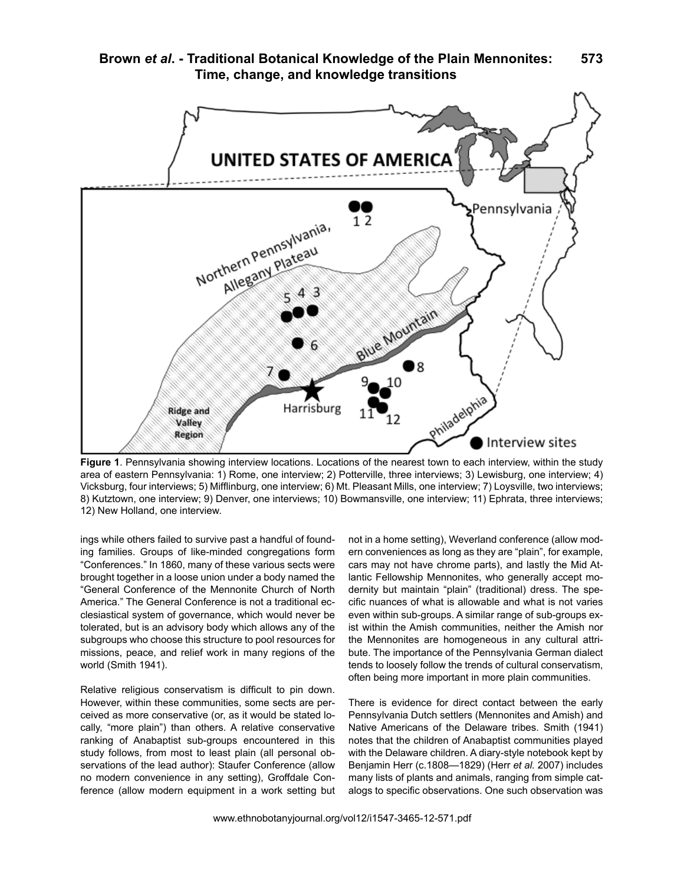



**Figure 1**. Pennsylvania showing interview locations. Locations of the nearest town to each interview, within the study area of eastern Pennsylvania: 1) Rome, one interview; 2) Potterville, three interviews; 3) Lewisburg, one interview; 4) Vicksburg, four interviews; 5) Mifflinburg, one interview; 6) Mt. Pleasant Mills, one interview; 7) Loysville, two interviews; 8) Kutztown, one interview; 9) Denver, one interviews; 10) Bowmansville, one interview; 11) Ephrata, three interviews; 12) New Holland, one interview.

ings while others failed to survive past a handful of founding families. Groups of like-minded congregations form "Conferences." In 1860, many of these various sects were brought together in a loose union under a body named the "General Conference of the Mennonite Church of North America." The General Conference is not a traditional ecclesiastical system of governance, which would never be tolerated, but is an advisory body which allows any of the subgroups who choose this structure to pool resources for missions, peace, and relief work in many regions of the world (Smith 1941).

Relative religious conservatism is difficult to pin down. However, within these communities, some sects are perceived as more conservative (or, as it would be stated locally, "more plain") than others. A relative conservative ranking of Anabaptist sub-groups encountered in this study follows, from most to least plain (all personal observations of the lead author): Staufer Conference (allow no modern convenience in any setting), Groffdale Conference (allow modern equipment in a work setting but

not in a home setting), Weverland conference (allow modern conveniences as long as they are "plain", for example, cars may not have chrome parts), and lastly the Mid Atlantic Fellowship Mennonites, who generally accept modernity but maintain "plain" (traditional) dress. The specific nuances of what is allowable and what is not varies even within sub-groups. A similar range of sub-groups exist within the Amish communities, neither the Amish nor the Mennonites are homogeneous in any cultural attribute. The importance of the Pennsylvania German dialect tends to loosely follow the trends of cultural conservatism, often being more important in more plain communities.

There is evidence for direct contact between the early Pennsylvania Dutch settlers (Mennonites and Amish) and Native Americans of the Delaware tribes. Smith (1941) notes that the children of Anabaptist communities played with the Delaware children. A diary-style notebook kept by Benjamin Herr (c.1808—1829) (Herr *et al.* 2007) includes many lists of plants and animals, ranging from simple catalogs to specific observations. One such observation was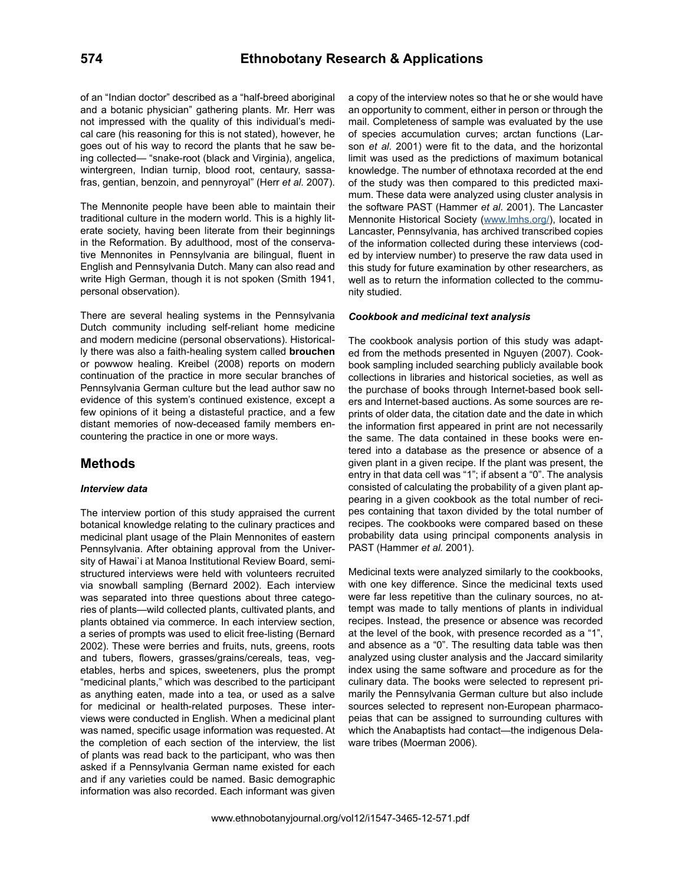of an "Indian doctor" described as a "half-breed aboriginal and a botanic physician" gathering plants. Mr. Herr was not impressed with the quality of this individual's medical care (his reasoning for this is not stated), however, he goes out of his way to record the plants that he saw being collected— "snake-root (black and Virginia), angelica, wintergreen, Indian turnip, blood root, centaury, sassafras, gentian, benzoin, and pennyroyal" (Herr *et al.* 2007).

The Mennonite people have been able to maintain their traditional culture in the modern world. This is a highly literate society, having been literate from their beginnings in the Reformation. By adulthood, most of the conservative Mennonites in Pennsylvania are bilingual, fluent in English and Pennsylvania Dutch. Many can also read and write High German, though it is not spoken (Smith 1941, personal observation).

There are several healing systems in the Pennsylvania Dutch community including self-reliant home medicine and modern medicine (personal observations). Historically there was also a faith-healing system called **brouchen** or powwow healing. Kreibel (2008) reports on modern continuation of the practice in more secular branches of Pennsylvania German culture but the lead author saw no evidence of this system's continued existence, except a few opinions of it being a distasteful practice, and a few distant memories of now-deceased family members encountering the practice in one or more ways.

### **Methods**

#### *Interview data*

The interview portion of this study appraised the current botanical knowledge relating to the culinary practices and medicinal plant usage of the Plain Mennonites of eastern Pennsylvania. After obtaining approval from the University of Hawai`i at Manoa Institutional Review Board, semistructured interviews were held with volunteers recruited via snowball sampling (Bernard 2002). Each interview was separated into three questions about three categories of plants—wild collected plants, cultivated plants, and plants obtained via commerce. In each interview section, a series of prompts was used to elicit free-listing (Bernard 2002). These were berries and fruits, nuts, greens, roots and tubers, flowers, grasses/grains/cereals, teas, vegetables, herbs and spices, sweeteners, plus the prompt "medicinal plants," which was described to the participant as anything eaten, made into a tea, or used as a salve for medicinal or health-related purposes. These interviews were conducted in English. When a medicinal plant was named, specific usage information was requested. At the completion of each section of the interview, the list of plants was read back to the participant, who was then asked if a Pennsylvania German name existed for each and if any varieties could be named. Basic demographic information was also recorded. Each informant was given

a copy of the interview notes so that he or she would have an opportunity to comment, either in person or through the mail. Completeness of sample was evaluated by the use of species accumulation curves; arctan functions (Larson *et al.* 2001) were fit to the data, and the horizontal limit was used as the predictions of maximum botanical knowledge. The number of ethnotaxa recorded at the end of the study was then compared to this predicted maximum. These data were analyzed using cluster analysis in the software PAST (Hammer *et al.* 2001). The Lancaster Mennonite Historical Society ([www.lmhs.org/](http://www.lmhs.org/)), located in Lancaster, Pennsylvania, has archived transcribed copies of the information collected during these interviews (coded by interview number) to preserve the raw data used in this study for future examination by other researchers, as well as to return the information collected to the community studied.

#### *Cookbook and medicinal text analysis*

The cookbook analysis portion of this study was adapted from the methods presented in Nguyen (2007). Cookbook sampling included searching publicly available book collections in libraries and historical societies, as well as the purchase of books through Internet-based book sellers and Internet-based auctions. As some sources are reprints of older data, the citation date and the date in which the information first appeared in print are not necessarily the same. The data contained in these books were entered into a database as the presence or absence of a given plant in a given recipe. If the plant was present, the entry in that data cell was "1"; if absent a "0". The analysis consisted of calculating the probability of a given plant appearing in a given cookbook as the total number of recipes containing that taxon divided by the total number of recipes. The cookbooks were compared based on these probability data using principal components analysis in PAST (Hammer *et al.* 2001).

Medicinal texts were analyzed similarly to the cookbooks, with one key difference. Since the medicinal texts used were far less repetitive than the culinary sources, no attempt was made to tally mentions of plants in individual recipes. Instead, the presence or absence was recorded at the level of the book, with presence recorded as a "1", and absence as a "0". The resulting data table was then analyzed using cluster analysis and the Jaccard similarity index using the same software and procedure as for the culinary data. The books were selected to represent primarily the Pennsylvania German culture but also include sources selected to represent non-European pharmacopeias that can be assigned to surrounding cultures with which the Anabaptists had contact—the indigenous Delaware tribes (Moerman 2006).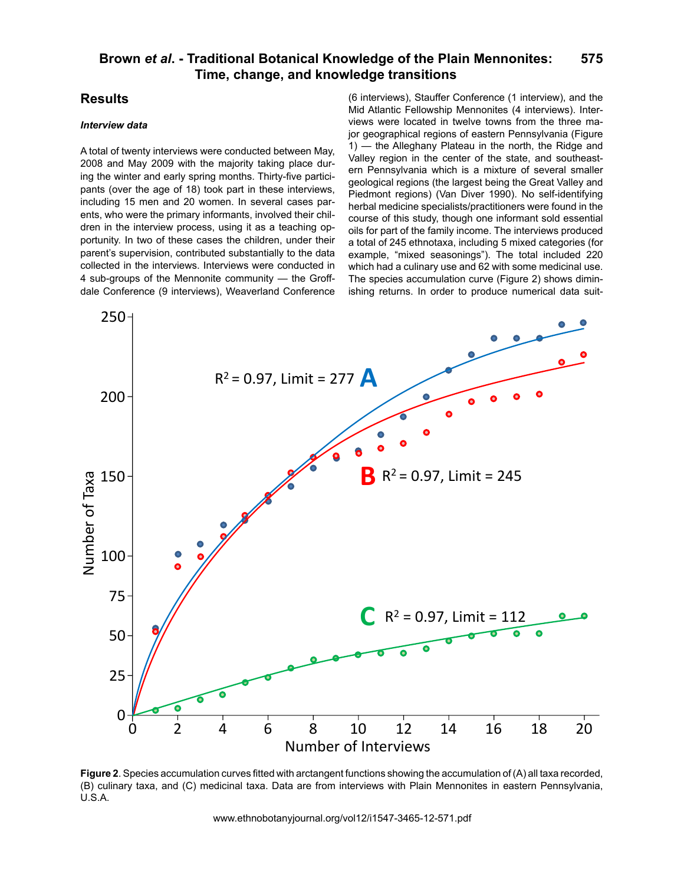### **Results**

#### *Interview data*

A total of twenty interviews were conducted between May, 2008 and May 2009 with the majority taking place during the winter and early spring months. Thirty-five participants (over the age of 18) took part in these interviews, including 15 men and 20 women. In several cases parents, who were the primary informants, involved their children in the interview process, using it as a teaching opportunity. In two of these cases the children, under their parent's supervision, contributed substantially to the data collected in the interviews. Interviews were conducted in 4 sub-groups of the Mennonite community — the Groffdale Conference (9 interviews), Weaverland Conference

(6 interviews), Stauffer Conference (1 interview), and the Mid Atlantic Fellowship Mennonites (4 interviews). Interviews were located in twelve towns from the three major geographical regions of eastern Pennsylvania (Figure 1) — the Alleghany Plateau in the north, the Ridge and Valley region in the center of the state, and southeastern Pennsylvania which is a mixture of several smaller geological regions (the largest being the Great Valley and Piedmont regions) (Van Diver 1990). No self-identifying herbal medicine specialists/practitioners were found in the course of this study, though one informant sold essential oils for part of the family income. The interviews produced a total of 245 ethnotaxa, including 5 mixed categories (for example, "mixed seasonings"). The total included 220 which had a culinary use and 62 with some medicinal use. The species accumulation curve (Figure 2) shows diminishing returns. In order to produce numerical data suit-



**Figure 2**. Species accumulation curves fitted with arctangent functions showing the accumulation of (A) all taxa recorded, (B) culinary taxa, and (C) medicinal taxa. Data are from interviews with Plain Mennonites in eastern Pennsylvania, U.S.A.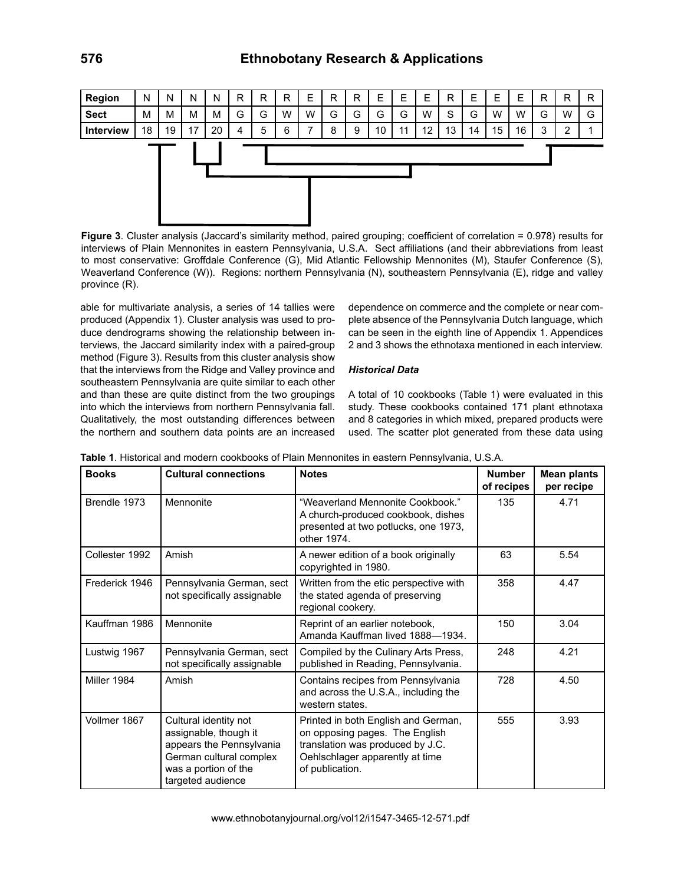

**Figure 3**. Cluster analysis (Jaccard's similarity method, paired grouping; coefficient of correlation = 0.978) results for interviews of Plain Mennonites in eastern Pennsylvania, U.S.A. Sect affiliations (and their abbreviations from least to most conservative: Groffdale Conference (G), Mid Atlantic Fellowship Mennonites (M), Staufer Conference (S), Weaverland Conference (W)). Regions: northern Pennsylvania (N), southeastern Pennsylvania (E), ridge and valley province (R).

able for multivariate analysis, a series of 14 tallies were produced (Appendix 1). Cluster analysis was used to produce dendrograms showing the relationship between interviews, the Jaccard similarity index with a paired-group method (Figure 3). Results from this cluster analysis show that the interviews from the Ridge and Valley province and southeastern Pennsylvania are quite similar to each other and than these are quite distinct from the two groupings into which the interviews from northern Pennsylvania fall. Qualitatively, the most outstanding differences between the northern and southern data points are an increased dependence on commerce and the complete or near complete absence of the Pennsylvania Dutch language, which can be seen in the eighth line of Appendix 1. Appendices 2 and 3 shows the ethnotaxa mentioned in each interview.

#### *Historical Data*

A total of 10 cookbooks (Table 1) were evaluated in this study. These cookbooks contained 171 plant ethnotaxa and 8 categories in which mixed, prepared products were used. The scatter plot generated from these data using

| <b>Books</b>   | <b>Cultural connections</b>                                                                                                                        | <b>Notes</b>                                                                                                                                                    | <b>Number</b><br>of recipes | <b>Mean plants</b><br>per recipe |
|----------------|----------------------------------------------------------------------------------------------------------------------------------------------------|-----------------------------------------------------------------------------------------------------------------------------------------------------------------|-----------------------------|----------------------------------|
| Brendle 1973   | Mennonite                                                                                                                                          | "Weaverland Mennonite Cookbook."<br>A church-produced cookbook, dishes<br>presented at two potlucks, one 1973,<br>other 1974.                                   | 135                         | 4.71                             |
| Collester 1992 | Amish                                                                                                                                              | A newer edition of a book originally<br>copyrighted in 1980.                                                                                                    | 63                          | 5.54                             |
| Frederick 1946 | Pennsylvania German, sect<br>not specifically assignable                                                                                           | Written from the etic perspective with<br>the stated agenda of preserving<br>regional cookery.                                                                  | 358                         | 4.47                             |
| Kauffman 1986  | Mennonite                                                                                                                                          | Reprint of an earlier notebook,<br>Amanda Kauffman lived 1888-1934.                                                                                             | 150                         | 3.04                             |
| Lustwig 1967   | Pennsylvania German, sect<br>not specifically assignable                                                                                           | Compiled by the Culinary Arts Press,<br>published in Reading, Pennsylvania.                                                                                     | 248                         | 4.21                             |
| Miller 1984    | Amish                                                                                                                                              | Contains recipes from Pennsylvania<br>and across the U.S.A., including the<br>western states.                                                                   | 728                         | 4.50                             |
| Vollmer 1867   | Cultural identity not<br>assignable, though it<br>appears the Pennsylvania<br>German cultural complex<br>was a portion of the<br>targeted audience | Printed in both English and German,<br>on opposing pages. The English<br>translation was produced by J.C.<br>Oehlschlager apparently at time<br>of publication. | 555                         | 3.93                             |

**Table 1**. Historical and modern cookbooks of Plain Mennonites in eastern Pennsylvania, U.S.A.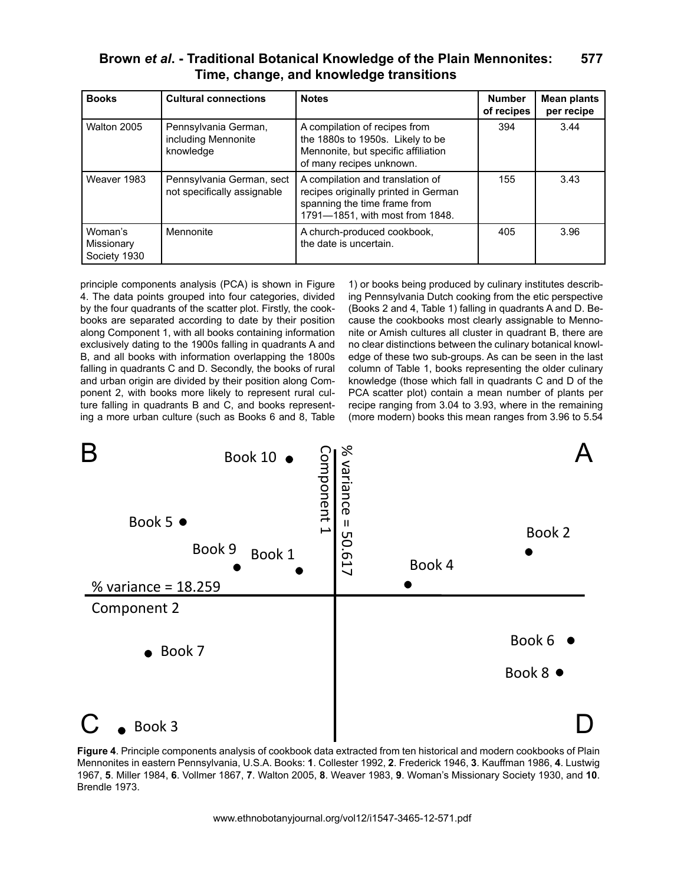| Brown et al. - Traditional Botanical Knowledge of the Plain Mennonites: | 577 |
|-------------------------------------------------------------------------|-----|
| Time, change, and knowledge transitions                                 |     |

| <b>Books</b>                          | <b>Cultural connections</b>                              | <b>Notes</b>                                                                                                                                | <b>Number</b><br>of recipes | <b>Mean plants</b><br>per recipe |
|---------------------------------------|----------------------------------------------------------|---------------------------------------------------------------------------------------------------------------------------------------------|-----------------------------|----------------------------------|
| Walton 2005                           | Pennsylvania German,<br>including Mennonite<br>knowledge | A compilation of recipes from<br>the 1880s to 1950s. Likely to be<br>Mennonite, but specific affiliation<br>of many recipes unknown.        | 394                         | 3.44                             |
| Weaver 1983                           | Pennsylvania German, sect<br>not specifically assignable | A compilation and translation of<br>recipes originally printed in German<br>spanning the time frame from<br>1791-1851, with most from 1848. | 155                         | 3.43                             |
| Woman's<br>Missionary<br>Society 1930 | Mennonite                                                | A church-produced cookbook,<br>the date is uncertain.                                                                                       | 405                         | 3.96                             |

principle components analysis (PCA) is shown in Figure 4. The data points grouped into four categories, divided by the four quadrants of the scatter plot. Firstly, the cookbooks are separated according to date by their position along Component 1, with all books containing information exclusively dating to the 1900s falling in quadrants A and B, and all books with information overlapping the 1800s falling in quadrants C and D. Secondly, the books of rural and urban origin are divided by their position along Component 2, with books more likely to represent rural culture falling in quadrants B and C, and books representing a more urban culture (such as Books 6 and 8, Table

no clear distinctions between the culinary botanical knowl-<br>edge of these two sub-groups. As can be seen in the last 1) or books being produced by culinary institutes describing Pennsylvania Dutch cooking from the etic perspective (Books 2 and 4, Table 1) falling in quadrants A and D. Because the cookbooks most clearly assignable to Mennonite or Amish cultures all cluster in quadrant B, there are no clear distinctions between the culinary botanical knowlcolumn of Table 1, books representing the older culinary knowledge (those which fall in quadrants C and D of the PCA scatter plot) contain a mean number of plants per recipe ranging from 3.04 to 3.93, where in the remaining (more modern) books this mean ranges from 3.96 to 5.54



**Figure 4**. Principle components analysis of cookbook data extracted from ten historical and modern cookbooks of Plain Mennonites in eastern Pennsylvania, U.S.A. Books: **1**. Collester 1992, **2**. Frederick 1946, **3**. Kauffman 1986, **4**. Lustwig 1967, **5**. Miller 1984, **6**. Vollmer 1867, **7**. Walton 2005, **8**. Weaver 1983, **9**. Woman's Missionary Society 1930, and **10**. Brendle 1973.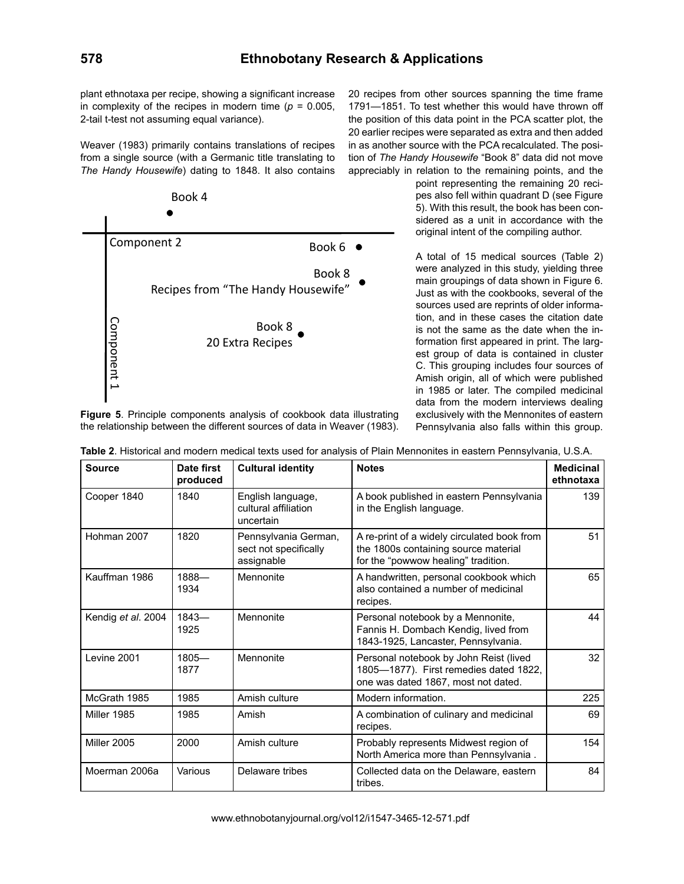plant ethnotaxa per recipe, showing a significant increase in complexity of the recipes in modern time  $(p = 0.005$ , 2-tail t-test not assuming equal variance).

Weaver (1983) primarily contains translations of recipes from a single source (with a Germanic title translating to *The Handy Housewife*) dating to 1848. It also contains



**Figure 5**. Principle components analysis of cookbook data illustrating the relationship between the different sources of data in Weaver (1983).

20 recipes from other sources spanning the time frame 1791—1851. To test whether this would have thrown off the position of this data point in the PCA scatter plot, the 20 earlier recipes were separated as extra and then added in as another source with the PCA recalculated. The position of *The Handy Housewife* "Book 8" data did not move appreciably in relation to the remaining points, and the

point representing the remaining 20 recipes also fell within quadrant D (see Figure 5). With this result, the book has been considered as a unit in accordance with the original intent of the compiling author.

A total of 15 medical sources (Table 2) were analyzed in this study, yielding three main groupings of data shown in Figure 6. Just as with the cookbooks, several of the sources used are reprints of older information, and in these cases the citation date is not the same as the date when the information first appeared in print. The largest group of data is contained in cluster C. This grouping includes four sources of Amish origin, all of which were published in 1985 or later. The compiled medicinal data from the modern interviews dealing exclusively with the Mennonites of eastern Pennsylvania also falls within this group.

| <b>Source</b>      | Date first<br>produced | <b>Cultural identity</b>                                    | <b>Notes</b>                                                                                                               | <b>Medicinal</b><br>ethnotaxa |
|--------------------|------------------------|-------------------------------------------------------------|----------------------------------------------------------------------------------------------------------------------------|-------------------------------|
| Cooper 1840        | 1840                   | English language,<br>cultural affiliation<br>uncertain      | A book published in eastern Pennsylvania<br>in the English language.                                                       | 139                           |
| Hohman 2007        | 1820                   | Pennsylvania German,<br>sect not specifically<br>assignable | A re-print of a widely circulated book from<br>the 1800s containing source material<br>for the "powwow healing" tradition. | 51                            |
| Kauffman 1986      | 1888-<br>1934          | Mennonite                                                   | A handwritten, personal cookbook which<br>also contained a number of medicinal<br>recipes.                                 | 65                            |
| Kendig et al. 2004 | $1843 -$<br>1925       | Mennonite                                                   | Personal notebook by a Mennonite,<br>Fannis H. Dombach Kendig, lived from<br>1843-1925, Lancaster, Pennsylvania.           | 44                            |
| Levine 2001        | $1805 -$<br>1877       | Mennonite                                                   | Personal notebook by John Reist (lived<br>1805-1877). First remedies dated 1822,<br>one was dated 1867, most not dated.    | 32                            |
| McGrath 1985       | 1985                   | Amish culture                                               | Modern information.                                                                                                        | 225                           |
| Miller 1985        | 1985                   | Amish                                                       | A combination of culinary and medicinal<br>recipes.                                                                        | 69                            |
| Miller 2005        | 2000                   | Amish culture                                               | Probably represents Midwest region of<br>North America more than Pennsylvania.                                             | 154                           |
| Moerman 2006a      | Various                | Delaware tribes                                             | Collected data on the Delaware, eastern<br>tribes.                                                                         | 84                            |

**Table 2**. Historical and modern medical texts used for analysis of Plain Mennonites in eastern Pennsylvania, U.S.A.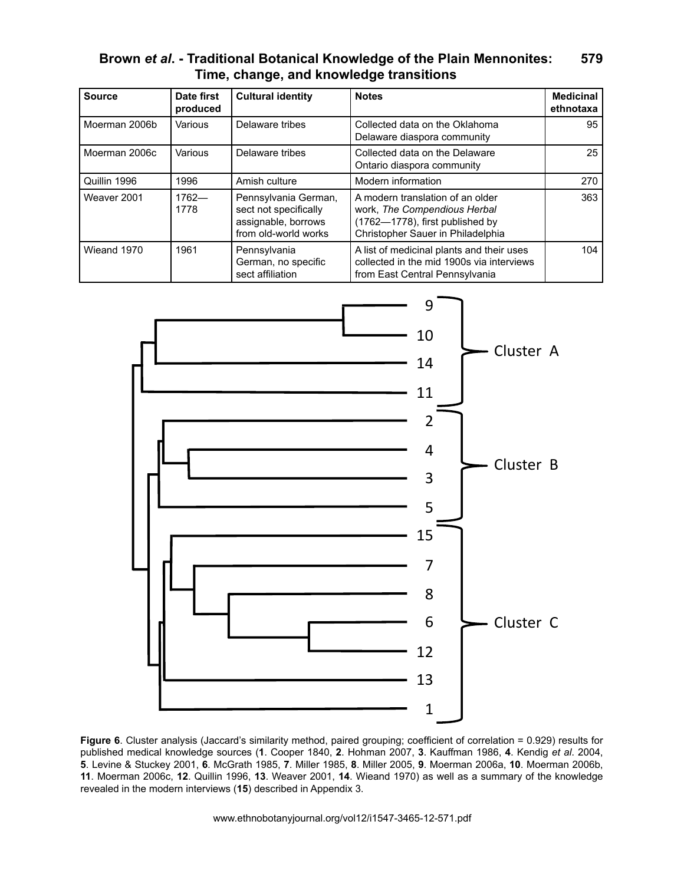| <b>Source</b> | Date first<br>produced | <b>Cultural identity</b>                                                                     | <b>Notes</b>                                                                                                                             | <b>Medicinal</b><br>ethnotaxa |
|---------------|------------------------|----------------------------------------------------------------------------------------------|------------------------------------------------------------------------------------------------------------------------------------------|-------------------------------|
| Moerman 2006b | Various                | Delaware tribes                                                                              | Collected data on the Oklahoma<br>Delaware diaspora community                                                                            | 95                            |
| Moerman 2006c | Various                | Delaware tribes                                                                              | Collected data on the Delaware<br>Ontario diaspora community                                                                             | 25                            |
| Quillin 1996  | 1996                   | Amish culture                                                                                | Modern information                                                                                                                       | 270                           |
| Weaver 2001   | $1762 -$<br>1778       | Pennsylvania German,<br>sect not specifically<br>assignable, borrows<br>from old-world works | A modern translation of an older<br>work, The Compendious Herbal<br>(1762-1778), first published by<br>Christopher Sauer in Philadelphia | 363                           |
| Wieand 1970   | 1961                   | Pennsylvania<br>German, no specific<br>sect affiliation                                      | A list of medicinal plants and their uses<br>collected in the mid 1900s via interviews<br>from East Central Pennsylvania                 | 104                           |



Figure 6. Cluster analysis (Jaccard's similarity method, paired grouping; coefficient of correlation = 0.929) results for published medical knowledge sources (**1**. Cooper 1840, **2**. Hohman 2007, **3**. Kauffman 1986, **4**. Kendig *et al*. 2004, **5**. Levine & Stuckey 2001, **6**. McGrath 1985, **7**. Miller 1985, **8**. Miller 2005, **9**. Moerman 2006a, **10**. Moerman 2006b, **11**. Moerman 2006c, **12**. Quillin 1996, **13**. Weaver 2001, **14**. Wieand 1970) as well as a summary of the knowledge revealed in the modern interviews (**15**) described in Appendix 3.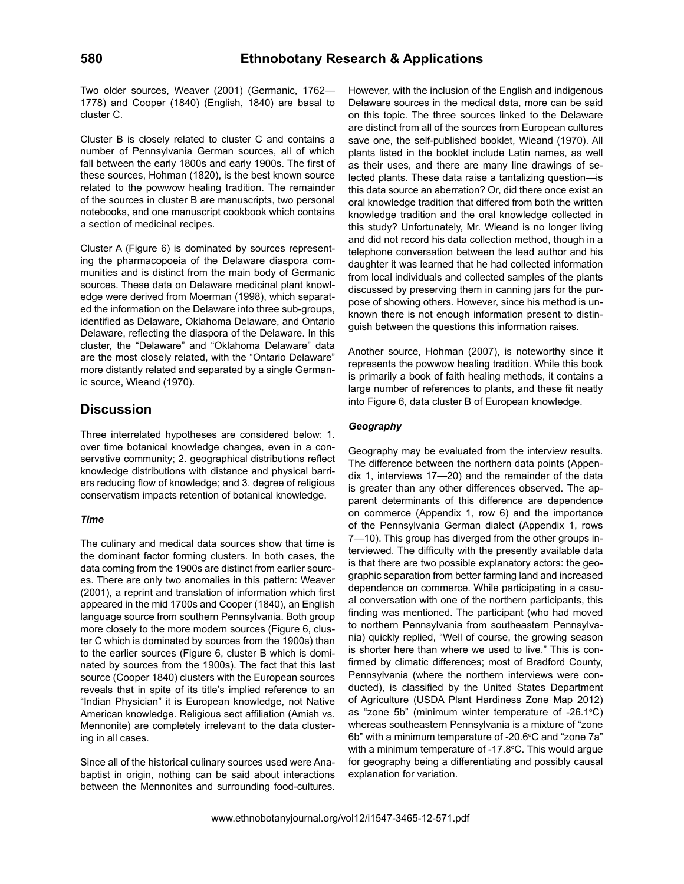Two older sources, Weaver (2001) (Germanic, 1762— 1778) and Cooper (1840) (English, 1840) are basal to cluster C.

Cluster B is closely related to cluster C and contains a number of Pennsylvania German sources, all of which fall between the early 1800s and early 1900s. The first of these sources, Hohman (1820), is the best known source related to the powwow healing tradition. The remainder of the sources in cluster B are manuscripts, two personal notebooks, and one manuscript cookbook which contains a section of medicinal recipes.

Cluster A (Figure 6) is dominated by sources representing the pharmacopoeia of the Delaware diaspora communities and is distinct from the main body of Germanic sources. These data on Delaware medicinal plant knowledge were derived from Moerman (1998), which separated the information on the Delaware into three sub-groups, identified as Delaware, Oklahoma Delaware, and Ontario Delaware, reflecting the diaspora of the Delaware. In this cluster, the "Delaware" and "Oklahoma Delaware" data are the most closely related, with the "Ontario Delaware" more distantly related and separated by a single Germanic source, Wieand (1970).

### **Discussion**

Three interrelated hypotheses are considered below: 1. over time botanical knowledge changes, even in a conservative community; 2. geographical distributions reflect knowledge distributions with distance and physical barriers reducing flow of knowledge; and 3. degree of religious conservatism impacts retention of botanical knowledge.

#### *Time*

The culinary and medical data sources show that time is the dominant factor forming clusters. In both cases, the data coming from the 1900s are distinct from earlier sources. There are only two anomalies in this pattern: Weaver (2001), a reprint and translation of information which first appeared in the mid 1700s and Cooper (1840), an English language source from southern Pennsylvania. Both group more closely to the more modern sources (Figure 6, cluster C which is dominated by sources from the 1900s) than to the earlier sources (Figure 6, cluster B which is dominated by sources from the 1900s). The fact that this last source (Cooper 1840) clusters with the European sources reveals that in spite of its title's implied reference to an "Indian Physician" it is European knowledge, not Native American knowledge. Religious sect affiliation (Amish vs. Mennonite) are completely irrelevant to the data clustering in all cases.

Since all of the historical culinary sources used were Anabaptist in origin, nothing can be said about interactions between the Mennonites and surrounding food-cultures. However, with the inclusion of the English and indigenous Delaware sources in the medical data, more can be said on this topic. The three sources linked to the Delaware are distinct from all of the sources from European cultures save one, the self-published booklet, Wieand (1970). All plants listed in the booklet include Latin names, as well as their uses, and there are many line drawings of selected plants. These data raise a tantalizing question—is this data source an aberration? Or, did there once exist an oral knowledge tradition that differed from both the written knowledge tradition and the oral knowledge collected in this study? Unfortunately, Mr. Wieand is no longer living and did not record his data collection method, though in a telephone conversation between the lead author and his daughter it was learned that he had collected information from local individuals and collected samples of the plants discussed by preserving them in canning jars for the purpose of showing others. However, since his method is unknown there is not enough information present to distinguish between the questions this information raises.

Another source, Hohman (2007), is noteworthy since it represents the powwow healing tradition. While this book is primarily a book of faith healing methods, it contains a large number of references to plants, and these fit neatly into Figure 6, data cluster B of European knowledge.

### *Geography*

Geography may be evaluated from the interview results. The difference between the northern data points (Appendix 1, interviews 17—20) and the remainder of the data is greater than any other differences observed. The apparent determinants of this difference are dependence on commerce (Appendix 1, row 6) and the importance of the Pennsylvania German dialect (Appendix 1, rows 7—10). This group has diverged from the other groups interviewed. The difficulty with the presently available data is that there are two possible explanatory actors: the geographic separation from better farming land and increased dependence on commerce. While participating in a casual conversation with one of the northern participants, this finding was mentioned. The participant (who had moved to northern Pennsylvania from southeastern Pennsylvania) quickly replied, "Well of course, the growing season is shorter here than where we used to live." This is confirmed by climatic differences; most of Bradford County, Pennsylvania (where the northern interviews were conducted), is classified by the United States Department of Agriculture (USDA Plant Hardiness Zone Map 2012) as "zone 5b" (minimum winter temperature of -26.1°C) whereas southeastern Pennsylvania is a mixture of "zone 6b" with a minimum temperature of -20.6°C and "zone 7a" with a minimum temperature of -17.8°C. This would argue for geography being a differentiating and possibly causal explanation for variation.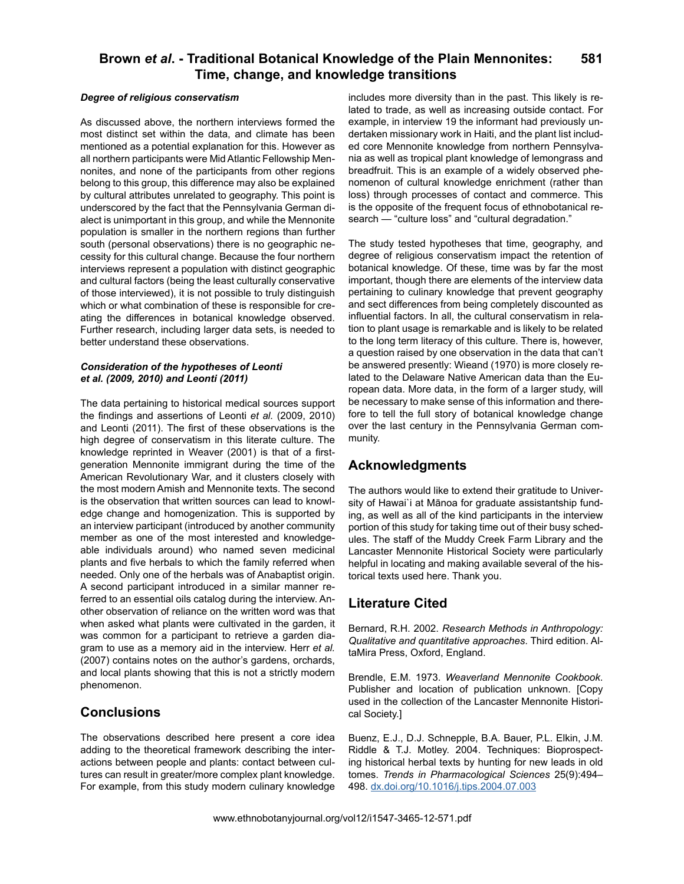#### *Degree of religious conservatism*

As discussed above, the northern interviews formed the most distinct set within the data, and climate has been mentioned as a potential explanation for this. However as all northern participants were Mid Atlantic Fellowship Mennonites, and none of the participants from other regions belong to this group, this difference may also be explained by cultural attributes unrelated to geography. This point is underscored by the fact that the Pennsylvania German dialect is unimportant in this group, and while the Mennonite population is smaller in the northern regions than further south (personal observations) there is no geographic necessity for this cultural change. Because the four northern interviews represent a population with distinct geographic and cultural factors (being the least culturally conservative of those interviewed), it is not possible to truly distinguish which or what combination of these is responsible for creating the differences in botanical knowledge observed. Further research, including larger data sets, is needed to better understand these observations.

#### *Consideration of the hypotheses of Leonti et al. (2009, 2010) and Leonti (2011)*

The data pertaining to historical medical sources support the findings and assertions of Leonti *et al.* (2009, 2010) and Leonti (2011). The first of these observations is the high degree of conservatism in this literate culture. The knowledge reprinted in Weaver (2001) is that of a firstgeneration Mennonite immigrant during the time of the American Revolutionary War, and it clusters closely with the most modern Amish and Mennonite texts. The second is the observation that written sources can lead to knowledge change and homogenization. This is supported by an interview participant (introduced by another community member as one of the most interested and knowledgeable individuals around) who named seven medicinal plants and five herbals to which the family referred when needed. Only one of the herbals was of Anabaptist origin. A second participant introduced in a similar manner referred to an essential oils catalog during the interview. Another observation of reliance on the written word was that when asked what plants were cultivated in the garden, it was common for a participant to retrieve a garden diagram to use as a memory aid in the interview. Herr *et al.* (2007) contains notes on the author's gardens, orchards, and local plants showing that this is not a strictly modern phenomenon.

### **Conclusions**

The observations described here present a core idea adding to the theoretical framework describing the interactions between people and plants: contact between cultures can result in greater/more complex plant knowledge. For example, from this study modern culinary knowledge

includes more diversity than in the past. This likely is related to trade, as well as increasing outside contact. For example, in interview 19 the informant had previously undertaken missionary work in Haiti, and the plant list included core Mennonite knowledge from northern Pennsylvania as well as tropical plant knowledge of lemongrass and breadfruit. This is an example of a widely observed phenomenon of cultural knowledge enrichment (rather than loss) through processes of contact and commerce. This is the opposite of the frequent focus of ethnobotanical research — "culture loss" and "cultural degradation."

The study tested hypotheses that time, geography, and degree of religious conservatism impact the retention of botanical knowledge. Of these, time was by far the most important, though there are elements of the interview data pertaining to culinary knowledge that prevent geography and sect differences from being completely discounted as influential factors. In all, the cultural conservatism in relation to plant usage is remarkable and is likely to be related to the long term literacy of this culture. There is, however, a question raised by one observation in the data that can't be answered presently: Wieand (1970) is more closely related to the Delaware Native American data than the European data. More data, in the form of a larger study, will be necessary to make sense of this information and therefore to tell the full story of botanical knowledge change over the last century in the Pennsylvania German community.

### **Acknowledgments**

The authors would like to extend their gratitude to University of Hawai`i at Mānoa for graduate assistantship funding, as well as all of the kind participants in the interview portion of this study for taking time out of their busy schedules. The staff of the Muddy Creek Farm Library and the Lancaster Mennonite Historical Society were particularly helpful in locating and making available several of the historical texts used here. Thank you.

### **Literature Cited**

Bernard, R.H. 2002. *Research Methods in Anthropology: Qualitative and quantitative approaches*. Third edition. AltaMira Press, Oxford, England.

Brendle, E.M. 1973. *Weaverland Mennonite Cookbook*. Publisher and location of publication unknown. [Copy used in the collection of the Lancaster Mennonite Historical Society.]

Buenz, E.J., D.J. Schnepple, B.A. Bauer, P.L. Elkin, J.M. Riddle & T.J. Motley. 2004. Techniques: Bioprospecting historical herbal texts by hunting for new leads in old tomes. *Trends in Pharmacological Sciences* 25(9):494– 498. [dx.doi.org/10.1016/j.tips.2004.07.003](http://dx.doi.org/10.1016/j.tips.2004.07.003)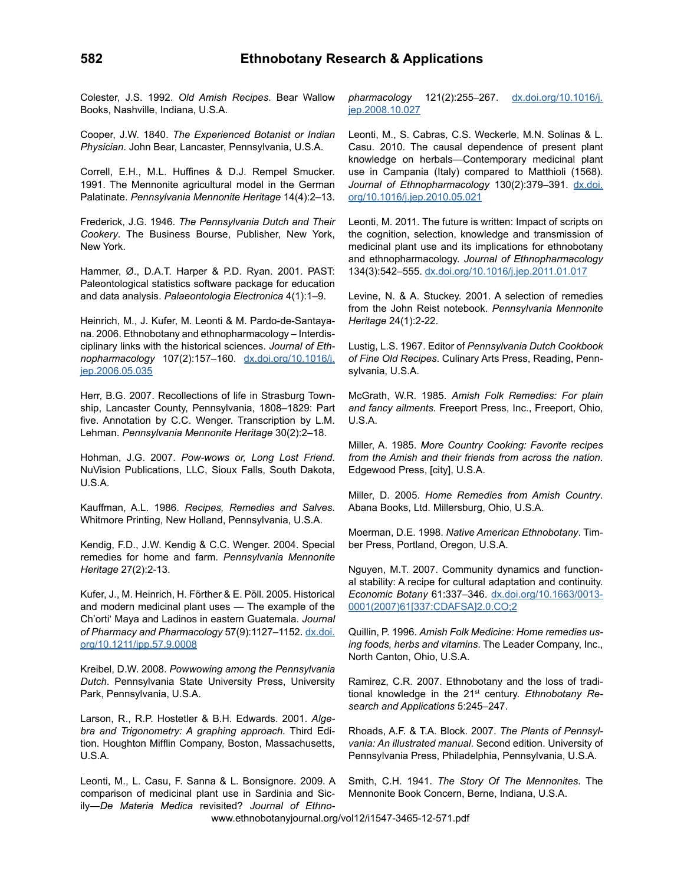Colester, J.S. 1992. *Old Amish Recipes*. Bear Wallow Books, Nashville, Indiana, U.S.A.

Cooper, J.W. 1840. *The Experienced Botanist or Indian Physician*. John Bear, Lancaster, Pennsylvania, U.S.A.

Correll, E.H., M.L. Huffines & D.J. Rempel Smucker. 1991. The Mennonite agricultural model in the German Palatinate. *Pennsylvania Mennonite Heritage* 14(4):2–13.

Frederick, J.G. 1946. *The Pennsylvania Dutch and Their Cookery*. The Business Bourse, Publisher, New York, New York.

Hammer, Ø., D.A.T. Harper & P.D. Ryan. 2001. PAST: Paleontological statistics software package for education and data analysis. *Palaeontologia Electronica* 4(1):1–9.

Heinrich, M., J. Kufer, M. Leonti & M. Pardo-de-Santayana. 2006. Ethnobotany and ethnopharmacology – Interdisciplinary links with the historical sciences. *Journal of Ethnopharmacology* 107(2):157–160. [dx.doi.org/10.1016/j.](http://dx.doi.org/10.1016/j.jep.2006.05.035) [jep.2006.05.035](http://dx.doi.org/10.1016/j.jep.2006.05.035)

Herr, B.G. 2007. Recollections of life in Strasburg Township, Lancaster County, Pennsylvania, 1808–1829: Part five. Annotation by C.C. Wenger. Transcription by L.M. Lehman. *Pennsylvania Mennonite Heritage* 30(2):2–18.

Hohman, J.G. 2007. *Pow-wows or, Long Lost Friend*. NuVision Publications, LLC, Sioux Falls, South Dakota, U.S.A.

Kauffman, A.L. 1986. *Recipes, Remedies and Salves*. Whitmore Printing, New Holland, Pennsylvania, U.S.A.

Kendig, F.D., J.W. Kendig & C.C. Wenger. 2004. Special remedies for home and farm. *Pennsylvania Mennonite Heritage* 27(2):2-13.

Kufer, J., M. Heinrich, H. Förther & E. Pöll. 2005. Historical and modern medicinal plant uses — The example of the Ch'orti' Maya and Ladinos in eastern Guatemala. *Journal of Pharmacy and Pharmacology* 57(9):1127–1152. [dx.doi.](http://dx.doi.org/10.1211/jpp.57.9.0008) [org/10.1211/jpp.57.9.0008](http://dx.doi.org/10.1211/jpp.57.9.0008)

Kreibel, D.W. 2008. *Powwowing among the Pennsylvania Dutch*. Pennsylvania State University Press, University Park, Pennsylvania, U.S.A.

Larson, R., R.P. Hostetler & B.H. Edwards. 2001. *Algebra and Trigonometry: A graphing approach*. Third Edition. Houghton Mifflin Company, Boston, Massachusetts, U.S.A.

Leonti, M., L. Casu, F. Sanna & L. Bonsignore. 2009. A comparison of medicinal plant use in Sardinia and Sicily—*De Materia Medica* revisited? *Journal of Ethno-* *pharmacology* 121(2):255–267. [dx.doi.org/10.1016/j.](http://dx.doi.org/10.1016/j.jep.2008.10.027) [jep.2008.10.027](http://dx.doi.org/10.1016/j.jep.2008.10.027)

Leonti, M., S. Cabras, C.S. Weckerle, M.N. Solinas & L. Casu. 2010. The causal dependence of present plant knowledge on herbals—Contemporary medicinal plant use in Campania (Italy) compared to Matthioli (1568). *Journal of Ethnopharmacology* 130(2):379–391. [dx.doi.](http://dx.doi.org/10.1016/j.jep.2010.05.021) [org/10.1016/j.jep.2010.05.021](http://dx.doi.org/10.1016/j.jep.2010.05.021)

Leonti, M. 2011. The future is written: Impact of scripts on the cognition, selection, knowledge and transmission of medicinal plant use and its implications for ethnobotany and ethnopharmacology. *Journal of Ethnopharmacology*  134(3):542–555. [dx.doi.org/10.1016/j.jep.2011.01.017](http://dx.doi.org/10.1016/j.jep.2011.01.017)

Levine, N. & A. Stuckey. 2001. A selection of remedies from the John Reist notebook. *Pennsylvania Mennonite Heritage* 24(1):2-22.

Lustig, L.S. 1967. Editor of *Pennsylvania Dutch Cookbook of Fine Old Recipes*. Culinary Arts Press, Reading, Pennsylvania, U.S.A.

McGrath, W.R. 1985. *Amish Folk Remedies: For plain and fancy ailments*. Freeport Press, Inc., Freeport, Ohio, U.S.A.

Miller, A. 1985. *More Country Cooking: Favorite recipes from the Amish and their friends from across the nation*. Edgewood Press, [city], U.S.A.

Miller, D. 2005. *Home Remedies from Amish Country*. Abana Books, Ltd. Millersburg, Ohio, U.S.A.

Moerman, D.E. 1998. *Native American Ethnobotany*. Timber Press, Portland, Oregon, U.S.A.

Nguyen, M.T. 2007. Community dynamics and functional stability: A recipe for cultural adaptation and continuity. *Economic Botany* 61:337–346. [dx.doi.org/10.1663/0013-](http://dx.doi.org/10.1663/0013-0001(2007)61[337:CDAFSA]2.0.CO;2) [0001\(2007\)61\[337:CDAFSA\]2.0.CO;2](http://dx.doi.org/10.1663/0013-0001(2007)61[337:CDAFSA]2.0.CO;2)

Quillin, P. 1996. *Amish Folk Medicine: Home remedies using foods, herbs and vitamins*. The Leader Company, Inc., North Canton, Ohio, U.S.A.

Ramirez, C.R. 2007. Ethnobotany and the loss of traditional knowledge in the 21st century. *Ethnobotany Research and Applications* 5:245–247.

Rhoads, A.F. & T.A. Block. 2007. *The Plants of Pennsylvania: An illustrated manual*. Second edition. University of Pennsylvania Press, Philadelphia, Pennsylvania, U.S.A.

Smith, C.H. 1941. *The Story Of The Mennonites*. The Mennonite Book Concern, Berne, Indiana, U.S.A.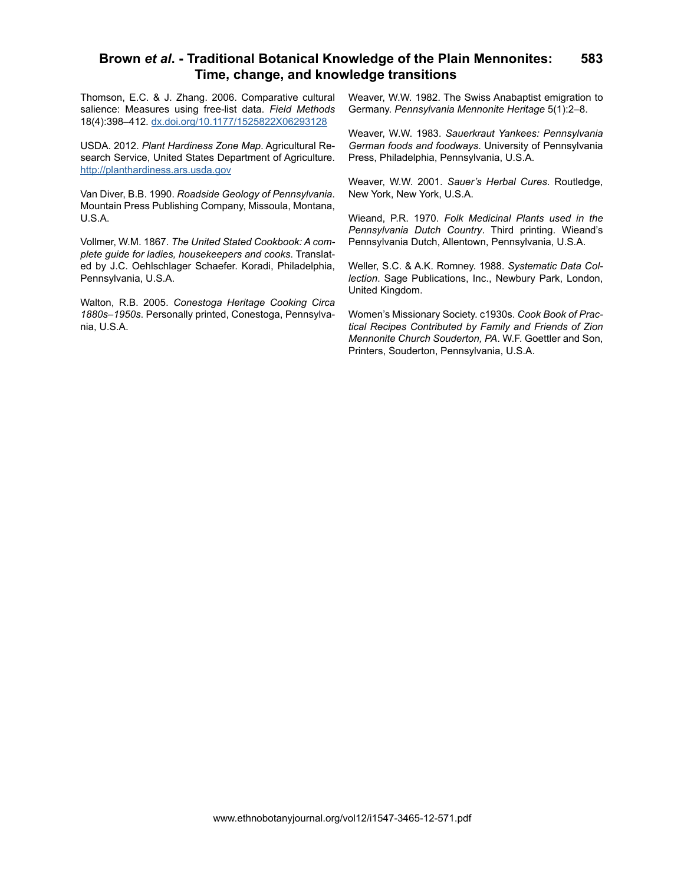Thomson, E.C. & J. Zhang. 2006. Comparative cultural salience: Measures using free-list data. *Field Methods*  18(4):398–412. [dx.doi.org/10.1177/1525822X06293128](http://dx.doi.org/10.1177/1525822X06293128)

USDA. 2012. *Plant Hardiness Zone Map*. Agricultural Research Service, United States Department of Agriculture. <http://planthardiness.ars.usda.gov>

Van Diver, B.B. 1990. *Roadside Geology of Pennsylvania*. Mountain Press Publishing Company, Missoula, Montana, U.S.A.

Vollmer, W.M. 1867. *The United Stated Cookbook: A complete guide for ladies, housekeepers and cooks*. Translated by J.C. Oehlschlager Schaefer. Koradi, Philadelphia, Pennsylvania, U.S.A.

Walton, R.B. 2005. *Conestoga Heritage Cooking Circa 1880s*–*1950s*. Personally printed, Conestoga, Pennsylvania, U.S.A.

Weaver, W.W. 1982. The Swiss Anabaptist emigration to Germany. *Pennsylvania Mennonite Heritage* 5(1):2–8.

Weaver, W.W. 1983. *Sauerkraut Yankees: Pennsylvania German foods and foodways*. University of Pennsylvania Press, Philadelphia, Pennsylvania, U.S.A.

Weaver, W.W. 2001. *Sauer's Herbal Cures*. Routledge, New York, New York, U.S.A.

Wieand, P.R. 1970. *Folk Medicinal Plants used in the Pennsylvania Dutch Country*. Third printing. Wieand's Pennsylvania Dutch, Allentown, Pennsylvania, U.S.A.

Weller, S.C. & A.K. Romney. 1988. *Systematic Data Collection*. Sage Publications, Inc., Newbury Park, London, United Kingdom.

Women's Missionary Society. c1930s. *Cook Book of Practical Recipes Contributed by Family and Friends of Zion Mennonite Church Souderton, PA*. W.F. Goettler and Son, Printers, Souderton, Pennsylvania, U.S.A.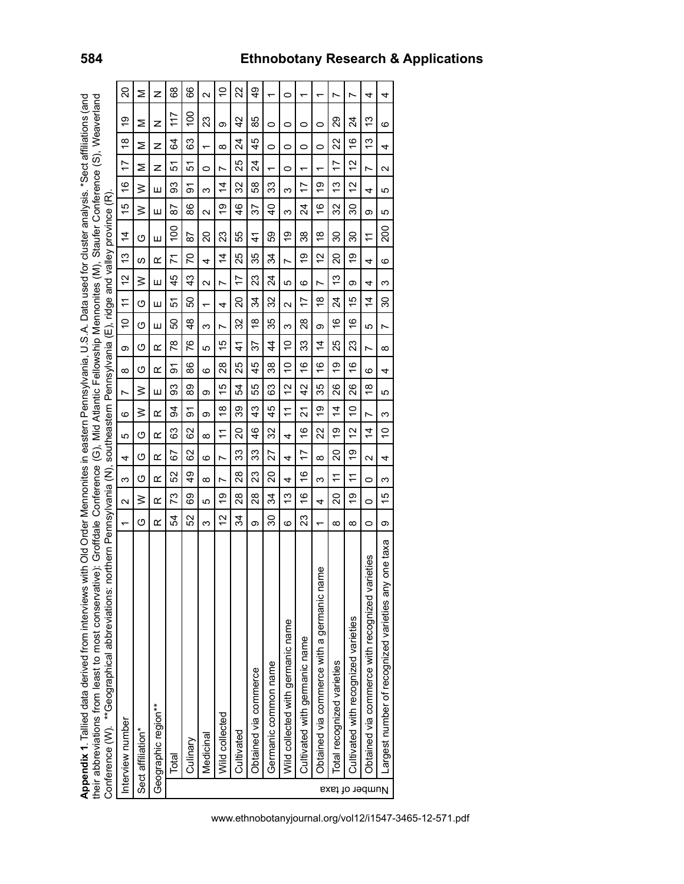Appendix 1. Tallied data derived from interviews with Old Order Mennonites in eastern Pennsylvania, U.S.A. Data used for cluster analysis. \*Sect affiliations (and<br>their abbreviations from least to most conservative): Groff **Appendix 1**. Tallied data derived from interviews with Old Order Mennonites in eastern Pennsylvania, U.S.A. Data used for cluster analysis. \*Sect affiliations (and their abbreviations from least to most conservative): Groffdale Conference (G), Mid Atlantic Fellowship Mennonites (M), Staufer Conference (S), Weaverland

|                | their abbreviations from least to moservative); Growshowship vistaria Conference Conference Confeale Conference Memory invest (W), Starter Conferences (W), Spaverland |                          |                   |               |     |                |                |               |               |               |                     |                        |                           |                |                   |                |                |                |               |                   |
|----------------|------------------------------------------------------------------------------------------------------------------------------------------------------------------------|--------------------------|-------------------|---------------|-----|----------------|----------------|---------------|---------------|---------------|---------------------|------------------------|---------------------------|----------------|-------------------|----------------|----------------|----------------|---------------|-------------------|
|                | orthern Pennsylvania (N), southeastern Pennsylvania (E), ridge and valley province (R)<br>Conference (W). **Geographical abbreviations: no                             |                          |                   |               |     |                |                |               |               |               |                     |                        |                           |                |                   |                |                |                |               |                   |
|                | Interview number                                                                                                                                                       | $\overline{\phantom{0}}$ | $\mathbf{\Omega}$ | ო             | 4   | 5              | ဖ              | L             | $\infty$      | တ             | $\tilde{c}$         | $\div$                 | <u>ლ</u><br>$\frac{1}{2}$ | $\overline{4}$ | $\overline{6}$    | $\frac{6}{5}$  | 17             | $\frac{8}{1}$  | ω             | 20                |
|                | Sect affiliation*                                                                                                                                                      | O                        | ≥                 | ග             | ග   | O              | ≥              | ≥             | O             | O             | O                   | $\geq$<br>ග            | ഗ                         | O              | ≥                 | $\geq$         | Σ              | Σ              | Σ             | Σ                 |
|                | Geographic region**                                                                                                                                                    | œ                        | $\alpha$          | ≃             | œ   | œ              | ≃              | Ш             | ≃             | œ             | Ш                   | Ш<br>Ш                 | œ                         | Ш              | Ш                 | Ш              | z              | z              | z             | z                 |
|                | Total                                                                                                                                                                  | 54                       | 73                | 52            | 29  | 83             | 3              | SS            | ଚ୍ଚ           | 78            | ន                   | 5                      | 71<br>45                  | 8              | 52                | 93             | 5              | 64             | 117           | 89                |
|                | Culinary                                                                                                                                                               | 52                       | 89                | $\frac{4}{9}$ | ပ္ပ | 8              | ଚ୍ଚ            | 89            | 86            | 76            | $\frac{8}{3}$       | ន                      | 20<br>43                  | 52             | 86                | ଚ୍ଚ            | 5              | 63             | š             | 89                |
|                | Medicinal                                                                                                                                                              | ო                        | 5                 | $\infty$      | ဖ   | $\infty$       | თ              | თ             | ဖ             | ယ             | $\overline{ }$<br>ო | $\mathbf{\Omega}$      | 4                         | 20             | $\mathbf{\Omega}$ | ო              | $\circ$        | $\overline{ }$ | 23            | $\mathbf{\Omega}$ |
|                | Wild collected                                                                                                                                                         | $\overline{a}$           | $\overline{O}$    | r             | r   | F              | $\frac{8}{1}$  | 15            | 28            | 5             | N                   | Ľ<br>4                 | $\overline{4}$            | 23             | თ                 | $\overline{4}$ | r              | $\infty$       | ω             | $\tilde{=}$       |
|                | Cultivated                                                                                                                                                             | 34                       | 28                | 28            | 33  | 20             | 39             | ź,            | 25            | 41            | 32                  | 20                     | 25<br>17                  | 55             | 46                | 32             | 25             | 24             | $\frac{2}{3}$ | 22                |
|                | Obtained via commerce                                                                                                                                                  | ω                        | 28                | 23            | 33  | 46             | 43             | 55            | 5<br>4        | 57            | $\frac{8}{1}$       | 24                     | 35<br>23                  | 4              | 57                | 89             | 24             | 45             | 85            | $\frac{6}{4}$     |
|                | Germanic common name                                                                                                                                                   | 30                       | 34                | 20            | 27  | 32             | 45             | 83            | 38            | 4             | 35                  | 32                     | 34<br>24                  | 59             | $\overline{6}$    | ్లు            | ↽              | 0              | 0             |                   |
|                | Wild collected with germanic name                                                                                                                                      | ဖ                        | 13                | 4             | 4   | 4              | $\tilde{t}$    | 51            | $\frac{0}{1}$ | $\frac{1}{2}$ | ო                   | 5<br>$\mathbf{\Omega}$ | Ľ                         | σ              | ო                 | ო              | 0              | 0              | 0             | 0                 |
|                | Cultivated with germanic name                                                                                                                                          | 23                       | ဖ                 | \$            | 17  | $\frac{6}{5}$  | 21             | $\frac{2}{3}$ | $\frac{6}{1}$ | 33            | 28                  | ဖ<br>17                | 6)                        | 38             | 24                | 17             | $\overline{ }$ | 0              | 0             |                   |
|                | $\overline{\mathsf{D}}$<br>Obtained via commerce with a germanic nan                                                                                                   | ٣                        | 4                 | ო             | ∞   | 22             | 6)             | 35            | $\frac{6}{1}$ | 4             | თ                   | Z<br>∞                 | 2                         | ∞              | $\tilde{e}$       | စ္             | ↽              | 0              | 0             | ᡪ                 |
|                | Total recognized varieties                                                                                                                                             | $\infty$                 | 20                | F             | 20  | ó,             | $\overline{4}$ | 26            | თ<br>᠆        | 25            | $\frac{6}{5}$       | 24                     | 20<br>5                   | 30             | 32                | مبر<br>ب       | 17             | 22             | 29            | Ľ                 |
| Number of taxa | Cultivated with recognized varieties                                                                                                                                   | $\infty$                 | တ                 | <u>:</u>      | 6)  | 2              | $\frac{1}{2}$  | 26            | $\frac{6}{1}$ | 23            | $\frac{6}{5}$       | ග<br>Ю                 | ó,                        | 30             | న్ల               | 51             | $\frac{1}{2}$  | ဖ              | 24            | r                 |
|                | eties<br>Obtained via commerce with recognized varie                                                                                                                   | 0                        | 0                 | 0             | Z   | $\overline{4}$ | r              | $\frac{8}{1}$ | ဖ             | Ľ             | 5                   | 4<br>$\overline{4}$    | 4                         | $\tilde{\tau}$ | თ                 | 4              | N              | 13             | 13            | 4                 |
|                | pne taxa<br>Largest number of recognized varieties any                                                                                                                 | თ                        | 15                | ω             | 4   | S              | ω              | 5             | 4             | ∞             | Ľ                   | ω<br>ౚ                 | ဖ                         | ខ្ល            | 5                 | 5              | N              | 4              | စ             | 4                 |
|                |                                                                                                                                                                        |                          |                   |               |     |                |                |               |               |               |                     |                        |                           |                |                   |                |                |                |               |                   |

www.ethnobotanyjournal.org/vol12/i1547-3465-12-571.pdf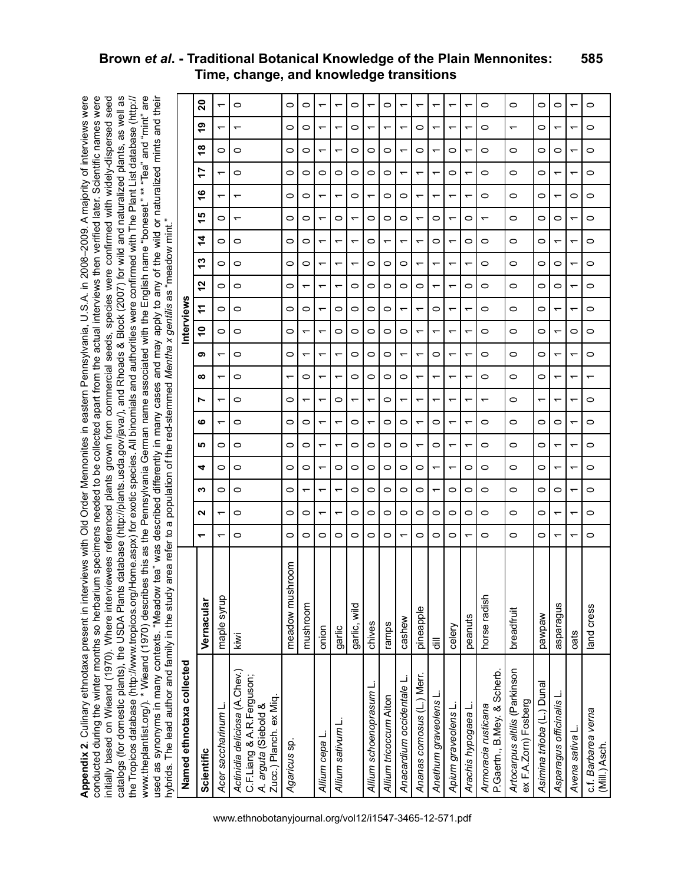**Appendix 2**. Culinary ethnotaxa present in interviews with Old Order Mennonites in eastern Pennsylvania, U.S.A. in 2008–2009. A majority of interviews were conducted during the winter months so herbarium specimens needed to be collected apart from the actual interviews then verified later. Scientific names were initially based on Wieand (1970). Where interviewees referenced plants grown from commercial seeds, species were confirmed with widely-dispersed seed catalogs (for domestic plants), the USDA Plants database (http://plants.usda.gov/java/), and Rhoads & Block (2007) for wild and naturalized plants, as well as www.theplantlist.org/). \* Wieand (1970) describes this as the Pennsylvania German name associated with the English name "boneset." \*\* "Tea" and "mint" are used as synonyms in many contexts. "Meadow tea" was described differently in many cases and may apply to any of the wild or naturalized mints and their Appendix 2. Culinary ethnotaxa present in interviews with Old Order Mennonites in eastern Pennsylvania, U.S.A. in 2008-2009. A majority of interviews were conducted during the winter months so herbarium specimens needed to be collected apart from the actual interviews then verified later. Scientific names were initially based on Wieand (1970). Where interviewees referenced plants grown from commercial seeds, species were confirmed with widely-dispersed seed catalogs (for domestic plants), the USDA Plants database (http://plants.usda.gov/java/), and Rhoads & Block (2007) for wild and naturalized plants, as well as the Tropicos database (http://www.tropicos.org/Home.aspx) for exotic species. All binomials and authorities were confirmed with The Plant List database (http:// www.theplantlist.org/). \* Wieand (1970) describes this as the Pennsylvania German name associated with the English name "boneset." \*\* "Tea" and "mint" are<br>used as swomwns in many contexts "Meadow tea" was described differe the Tropicos database (http://www.tropicos.org/Home.aspx) for exotic species. All binomials and authorities were confirmed with The Plant List database (http:// hybrids. The lead author and family in the study area refer to a population of the red-stemmed *Mentha x gentilis* as "meadow mint."

| woodday.com/windin.com/windin.com/windin.com/windin.com/windin.com/<br>hybrids. The lead author and family in the study | refer<br>vas<br>area<br>B | ω<br>٩                   |   | NIBILI II ANIDIDI DUNIDADI<br>population | ৳       | eq.                      | red-stemmed | じょこ                      |                          |                          | allo rinay apply be inter-<br>Mentha x gentilis as |         |         | "meadow mint.            | <b>F</b>                 | wild of Harman Shill b        |         |    |                          | ここ ここすい |                          |
|-------------------------------------------------------------------------------------------------------------------------|---------------------------|--------------------------|---|------------------------------------------|---------|--------------------------|-------------|--------------------------|--------------------------|--------------------------|----------------------------------------------------|---------|---------|--------------------------|--------------------------|-------------------------------|---------|----|--------------------------|---------|--------------------------|
| Named ethnotaxa collected                                                                                               |                           |                          |   |                                          |         |                          |             |                          |                          |                          | Interviews                                         |         |         |                          |                          |                               |         |    |                          |         |                          |
| Scientific                                                                                                              | Vernacular                | $\overline{\phantom{0}}$ | N | ∾                                        | 4       | <b>SC</b>                | ဖ           | N                        | ∞                        | თ                        | S                                                  | ÷       | 51      | ო                        | $\frac{4}{3}$            | 5                             | 9       | 17 | ఇ                        | თ       | ន                        |
| Acer saccharinum L                                                                                                      | maple syrup               |                          | ᡪ | 0                                        | O       | 0                        | ᡪ           | ᡪ                        | ᠇                        | ᡪ                        | 0                                                  | 0       | O       | 0                        | 0                        | ᠇<br>0                        |         | ᡪ  | 0                        | ᠇       | $\overline{\phantom{0}}$ |
| Actinidia deliciosa (A.Chev.)<br>C.F.Liang & A.R.Ferguson;<br>Zucc.) Planch. ex Miq.<br>A. arguta (Siebold &            | kiwi                      | 0                        | 0 | 0                                        | $\circ$ | $\circ$                  | 0           | $\circ$                  | 0                        | 0                        | 0                                                  | $\circ$ | $\circ$ | 0                        | 0                        | ᠇<br>$\overline{\phantom{0}}$ |         | 0  | 0                        | ↽       | $\circ$                  |
| Agaricus sp.                                                                                                            | nroom<br>meadow musl      | 0                        | 0 | 0                                        | 0       | 0                        | 0           | 0                        | ᠇                        | $\circ$                  | 0                                                  | 0       | 0       | 0                        | 0                        | 0<br>0                        |         | 0  | 0                        | 0       | $\circ$                  |
|                                                                                                                         | mushroom                  | 0                        | 0 | ↽                                        | 0       | 0                        | 0           | $\overline{\phantom{0}}$ | 0                        | ↽                        | ᠇                                                  | 0       | ↽       | 0                        | 0                        | 0<br>0                        |         | 0  | 0                        | 0       | 0                        |
| Allium cepa L                                                                                                           | onion                     | 0                        | ↽ | ᡪ                                        | ᠇       | ↽                        | ᡪ           | ᡪ                        | ᠇                        | ᡪ                        | ᠇                                                  | ᠇       | ᠇       | ᡪ                        | ᡪ                        | ᠇<br>$\overline{\phantom{0}}$ |         | 0  | ↽                        | ᠇       | $\overline{\phantom{0}}$ |
| Allium sativum L.                                                                                                       | garlic                    | 0                        | ᡪ | ᡪ                                        | 0       | ↽                        | ᠇           | 0                        | ᠇                        | ᠆                        | 0                                                  | 0       | ᠇       | ᠇                        |                          | $\overline{\phantom{0}}$<br>0 |         | 0  | ↽                        | ᠇       | ᡪ                        |
|                                                                                                                         | garlic, wild              | 0                        | 0 | $\circ$                                  | 0       | 0                        | 0           | $\overline{\phantom{0}}$ | 0                        | 0                        | 0                                                  | $\circ$ | 0       | ↽                        | ᠇                        | 0<br>↽                        |         | 0  | 0                        | 0       | 0                        |
| Allium schoenoprasum                                                                                                    | chives                    | 0                        | 0 | 0                                        | $\circ$ | 0                        | ᡪ           | ᡪ                        | 0                        | 0                        | 0                                                  | 0       | $\circ$ | 0                        | 0                        | ᡪ<br>0                        |         | 0  | 0                        | ᠇       | ᡪ                        |
| Allium tricoccum Aiton                                                                                                  | ramps                     | 0                        | 0 | 0                                        | 0       | 0                        | 0           | 0                        | 0                        | $\circ$                  | 0                                                  | 0       | $\circ$ | 0                        | $\overline{\phantom{0}}$ | 0<br>0                        |         | 0  | 0                        | ↽       | $\circ$                  |
| Anacardium occidentale L.                                                                                               | cashew                    |                          | 0 | 0                                        | 0       | $\circ$                  | 0           | $\overline{\phantom{0}}$ | 0                        | $\overline{\phantom{0}}$ | 0                                                  | ᠆       | 0       | 0                        |                          | 0<br>0                        |         | ᡪ  | $\overline{\phantom{0}}$ | ᠇       | ↽                        |
| Ananas comosus (L.) Merr.                                                                                               | pineapple                 | 0                        | 0 | $\circ$                                  | 0       | ᡪ                        | ᡪ           | ٣                        | ᡪ                        | ᠇                        | ᠇                                                  | ᡪ       | $\circ$ | ᠆                        | ᡪ                        | ᠇<br>ᡪ                        |         | ᡪ  | 0                        | 0       | ᡪ                        |
| Anethum graveolens L                                                                                                    | 틍                         | 0                        | 0 | ↽                                        | ↽       | 0                        | 0           | $\overline{\phantom{0}}$ | ↽                        | 0                        | ↽                                                  | 0       | ↽       | $\overline{\phantom{0}}$ | 0                        | ᠇<br>0                        |         | ᠇  | ↽                        | ↽       | ᡪ                        |
| Apium graveolens L                                                                                                      | celery                    | 0                        | 0 | 0                                        | ᠇       | $\overline{\phantom{0}}$ | ᠇           | ↽                        | ↽                        | $\overline{\phantom{0}}$ |                                                    |         | ↽       | ᠆                        |                          | $\overline{\phantom{0}}$      |         | 0  | 0                        | ᠇       |                          |
| Arachis hypogaea L                                                                                                      | peanuts                   | ᠇                        | 0 | 0                                        | 0       | ↽                        | ᡪ           | ٣                        | ᡪ                        | ᡪ                        | ᠇                                                  | ᡪ       | $\circ$ | ᠇                        | 0                        | $\circ$                       |         | ᡪ  | ᠇                        | ٣       | ۰                        |
| A <i>rmoracia rusticana</i><br>P.Gaertn., B.Mey. & Scherb.                                                              | horse radish              | 0                        | 0 | 0                                        | 0       | 0                        | 0           | $\overline{\phantom{0}}$ | 0                        | 0                        | 0                                                  | 0       | 0       | 0                        | 0                        | 0<br>$\overline{\phantom{0}}$ |         | 0  | 0                        | 0       | 0                        |
| Artocarpus altilis (Parkinson<br>ex F.A.Zorn) Fosberg                                                                   | breadfruit                | 0                        | 0 | $\circ$                                  | $\circ$ | $\circ$                  | 0           | $\circ$                  | 0                        | $\circ$                  | 0                                                  | 0       | $\circ$ | 0                        | 0                        | 0                             | $\circ$ | 0  | $\circ$                  | ᠇       | $\circ$                  |
| Asimina triloba (L.) Dunal                                                                                              | wedwed                    | 0                        | 0 | 0                                        | 0       | 0                        | 0           | $\overline{\phantom{0}}$ | 0                        | 0                        | 0                                                  | 0       | 0       | 0                        | 0                        | 0<br>0                        |         | 0  | 0                        | 0       | O                        |
| Asparagus officinalis L                                                                                                 | sugenedse                 | ᠇                        | ↽ | 0                                        | ᠇       | ↽                        | 0           | ᠇                        | ᠇                        | ᡪ                        | ᠇                                                  | ᠇       | 0       | 0                        | ᡪ                        | ᠇<br>0                        |         | ᠇  | 0                        | ᡪ       | 0                        |
| Avena sativa L                                                                                                          | oats                      |                          | ↽ | $\overline{\phantom{0}}$                 | ᡪ       | ↽                        | ᠇           | ↽                        | ᠇                        | ᠆                        | 0                                                  | ᠆       |         | ᠆                        |                          | 0<br>᠆                        |         | ᡪ  | ↽                        | ᠆       | $\overline{\phantom{0}}$ |
| c.f. Barbarea verna<br>(Mill.) Asch.                                                                                    | land cress                | 0                        | 0 | 0                                        | 0       | 0                        | 0           | 0                        | $\overline{\phantom{0}}$ | $\circ$                  | 0                                                  | $\circ$ | $\circ$ | 0                        | 0                        | 0<br>$\circ$                  |         | 0  | 0                        | 0       | $\circ$                  |

#### **Brown** *et al***. - Traditional Botanical Knowledge of the Plain Mennonites: Time, change, and knowledge transitions 585**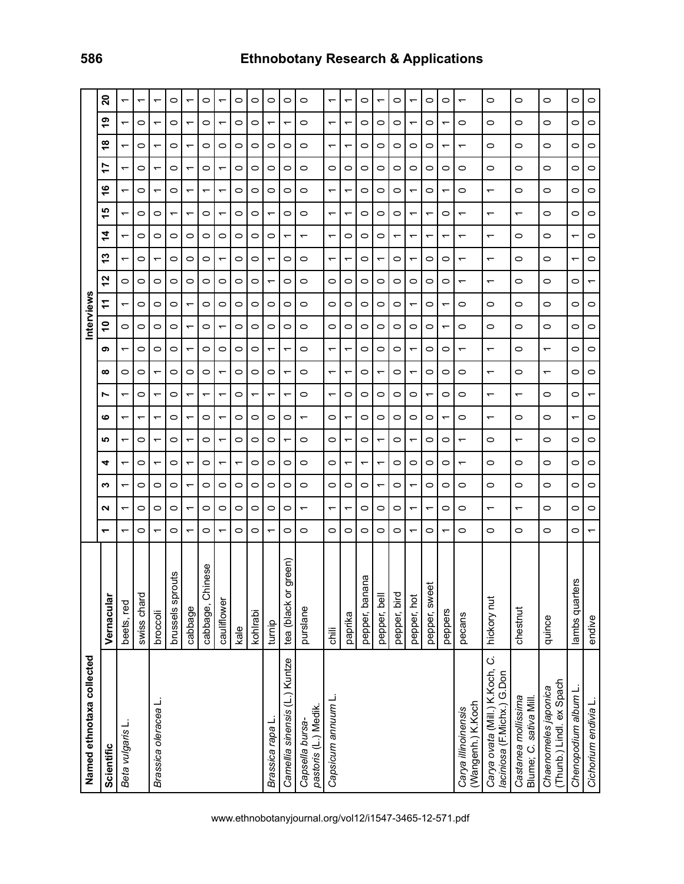| Named ethnotaxa collected                                    |                         |         |                          |         |         |                          |                          |                          |                          |                          | nterviews     |                               |                          |         |                          |                          |         |                          |                          |    |
|--------------------------------------------------------------|-------------------------|---------|--------------------------|---------|---------|--------------------------|--------------------------|--------------------------|--------------------------|--------------------------|---------------|-------------------------------|--------------------------|---------|--------------------------|--------------------------|---------|--------------------------|--------------------------|----|
| Scientific                                                   | Vernacular              | ᠇       | ี                        | ∾       | 4       | <u> ဟု</u>               | ဖ                        | N                        | ∞                        | ග                        | $\frac{1}{2}$ | 12<br>÷                       |                          | 4<br>က  | ю                        | $\frac{6}{1}$            | 17      | ∞                        | ဇ္                       | 20 |
| Beta vulgaris I                                              | beets, red              | ᠇       | ᠆                        | ᠇       | ᠇       | ↽                        | ↽                        | ᠇                        | 0                        | $\overline{\phantom{0}}$ | 0             | 0<br>↽                        | $\overline{\phantom{0}}$ | ↽       | ᠆                        | ↽                        | ᠇       |                          | ↽                        |    |
|                                                              | swiss chard             | 0       | 0                        | 0       | 0       | 0                        |                          | 0                        | 0                        | 0                        | 0             | 0<br>0                        | 0                        | 0       | 0                        | 0                        | 0       | 0                        | 0                        |    |
| Brassica oleracea                                            | broccoli                | ᠆       | 0                        | 0       | ᠇       | $\overline{ }$           | ↽                        | ᠇                        | ↽                        | 0                        | 0             | 0<br>0                        | ↽                        | 0       | 0                        | ↽                        | ᠇       |                          | ᠆                        | ᠇  |
|                                                              | brussels sprouts        | $\circ$ | $\circ$                  | 0       | $\circ$ | $\circ$                  | O                        | $\circ$                  | O                        | $\circ$                  | 0             | 0<br>0                        | $\circ$                  | 0       | ᡪ                        | 0                        | $\circ$ | 0                        | 0                        | 0  |
|                                                              | cabbage                 |         | ᠇                        | ᠇       |         | $\overline{ }$           |                          | ᠆                        | 0                        | ᡪ                        |               | 0<br>ᡪ                        | 0                        | 0       | ᡪ                        |                          |         |                          | ᠇                        |    |
|                                                              | cabbage, Chinese        | 0       | 0                        | 0       | 0       | $\circ$                  | 0                        | ↽                        | 0                        | 0                        | 0             | 0<br>0                        | 0                        | 0       | 0                        | $\overline{\phantom{0}}$ | 0       | 0                        | 0                        | 0  |
|                                                              | cauliflower             | ᡪ       | 0                        | 0       | ↽       | $\overline{\phantom{0}}$ | ᡪ                        | ᡪ                        | $\overline{\phantom{0}}$ | $\circ$                  | ᡪ             | 0<br>0                        | ᡪ                        | $\circ$ | ᡪ                        | ᡪ                        | ↽       | $\circ$                  | ᡪ                        | ᠇  |
|                                                              | kale                    | 0       | 0                        | 0       |         | $\circ$                  | 0                        | 0                        | 0                        | 0                        | 0             | 0<br>0                        | 0                        | 0       | 0                        | 0                        | 0       | 0                        | 0                        | 0  |
|                                                              | kohlrabi                | 0       | 0                        | 0       | 0       | $\circ$                  | 0                        | ↽                        | 0                        | 0                        | 0             | 0<br>0                        | 0                        | 0       | 0                        | 0                        | 0       | 0                        | 0                        | 0  |
| Brassica rapa L                                              | turnip                  | ᡪ       | $\circ$                  | 0       | $\circ$ | $\circ$                  | 0                        | ۳                        | 0                        | $\overline{\phantom{0}}$ | 0             | $\overline{\phantom{0}}$<br>0 | $\overline{\phantom{0}}$ | 0       | ᠇                        | 0                        | $\circ$ | 0                        | ᡪ                        | 0  |
| Camellia sinensis (L.) Kuntze                                | green)<br>tea (black or | 0       | 0                        | 0       | 0       | ᡪ                        | 0                        | ᡪ                        | ᠇                        | ᡪ                        | 0             | 0<br>0                        | 0                        |         | 0                        | 0                        | 0       | 0                        | ᡪ                        | 0  |
| pastoris (L.) Medik.<br>Capsella bursa-                      | purslane                | 0       | $\overline{\phantom{0}}$ | 0       | 0       | $\circ$                  | ᠇                        | 0                        | $\circ$                  | $\circ$                  | 0             | 0<br>0                        | $\circ$                  | ᠇       | 0                        | 0                        | 0       | 0                        | 0                        | 0  |
| Capsicum annuum L                                            | ili c                   | $\circ$ | ᠇                        | 0       | $\circ$ | $\circ$                  | 0                        | $\overline{\phantom{0}}$ | $\overline{\phantom{0}}$ | ᠇                        | 0             | 0<br>0                        | ↽                        | ᠇       | ᡪ                        | ᠇                        | $\circ$ | ᠇                        | ᠇                        | ᠇  |
|                                                              | paprika                 | 0       | ᠇                        | 0       | ᡪ       | $\overline{\phantom{0}}$ | ٣                        | 0                        | ᠇                        | ۳                        | 0             | 0<br>0                        | ٣                        | 0       | ٣                        | ٣                        | 0       | ۳                        | ↽                        | ᠇  |
|                                                              | pepper, banana          | 0       | 0                        | 0       | ᠇       | 0                        | 0                        | $\circ$                  | 0                        | 0                        | 0             | 0<br>0                        | 0                        | 0       | 0                        | 0                        | $\circ$ | 0                        | 0                        | 0  |
|                                                              | pepper, bell            | 0       | 0                        | ᠇       | ᠇       | $\overline{\phantom{0}}$ | 0                        | 0                        | ↽                        | 0                        | 0             | 0<br>0                        | ↽                        | 0       | 0                        | 0                        | 0       | 0                        | 0                        | ᠇  |
|                                                              | pepper, bird            | 0       | 0                        | 0       | 0       | $\circ$                  | 0                        | $\circ$                  | 0                        | $\circ$                  | 0             | 0<br>0                        | $\circ$                  | ᠇       | 0                        | 0                        | 0       | $\circ$                  | 0                        | 0  |
|                                                              | pepper, hot             | ᡪ       | ↽                        | ↽       | 0       | $\overline{\phantom{0}}$ | 0                        | 0                        | ᠇                        | $\overline{\phantom{0}}$ | 0             | 0<br>$\overline{\phantom{0}}$ | ᠇                        | ᠇       | ᠇                        | ᠇                        | 0       | 0                        | ᠆                        |    |
|                                                              | pepper, sweet           | 0       | ᠇                        | $\circ$ | 0       | $\circ$                  | 0                        | $\overline{\phantom{0}}$ | 0                        | 0                        | 0             | 0<br>0                        | 0                        | ᠇       | ᠇                        | 0                        | 0       | 0                        | 0                        | 0  |
|                                                              | peppers                 | ٣       | 0                        | $\circ$ | $\circ$ | $\circ$                  | $\overline{\phantom{0}}$ | $\circ$                  | $\circ$                  | $\circ$                  | ٣             | 0<br>↽                        | $\circ$                  | ↽       | $\circ$                  | ↽                        | $\circ$ | ٣                        | $\overline{\phantom{0}}$ | 0  |
| (Wangenh.) K.Koch<br>Carya illinoinensis                     | pecans                  | 0       | 0                        | 0       | ᠆       | $\overline{\phantom{0}}$ | 0                        | $\circ$                  | 0                        | ↽                        | 0             | ᠇<br>0                        | $\overline{\phantom{0}}$ | ᠇       | ᠇                        | 0                        | 0       | $\overline{\phantom{0}}$ | 0                        | ᠇  |
| Carya ovata (Mill.) K.Koch, C.<br>laciniosa (F.Michx.) G.Don | hickory nut             | 0       | $\overline{\phantom{0}}$ | 0       | $\circ$ | $\circ$                  | ᠇                        | ᠇                        | $\overline{\phantom{0}}$ | $\overline{\phantom{0}}$ | 0             | $\overline{\phantom{0}}$<br>0 | $\overline{\phantom{0}}$ | ᠇       | $\overline{\phantom{0}}$ | ᠇                        | 0       | 0                        | 0                        | 0  |
| Castanea mollissima<br>Blume; C. sativa Mill                 | chestnut                | 0       | $\overline{\phantom{0}}$ | 0       | 0       | $\overline{\phantom{0}}$ | 0                        | ↽                        | 0                        | 0                        | 0             | 0<br>0                        | 0                        | 0       | ᠇                        | 0                        | 0       | 0                        | 0                        | 0  |
| (Thunb.) Lindl. ex Spach<br>Chaenomeles japonica             | quince                  | 0       | 0                        | 0       | 0       | $\circ$                  | 0                        | $\circ$                  | ↽                        | $\overline{\phantom{0}}$ | 0             | 0<br>0                        | $\circ$                  | 0       | 0                        | 0                        | 0       | 0                        | 0                        | 0  |
| Chenopodium album L                                          | lambs quarters          | 0       | 0                        | 0       | 0       | $\circ$                  | ᠇                        | 0                        | 0                        | $\circ$                  | 0             | 0<br>0                        | ᠇                        | ᠇       | 0                        | 0                        | 0       | 0                        | 0                        | 0  |
| Cichorium endivia L.                                         | endive                  | ᠇       | $\circ$                  | 0       | 0       | $\circ$                  | 0                        | $\overline{\phantom{0}}$ | 0                        | $\circ$                  | $\circ$       | $\overline{\phantom{0}}$<br>0 | $\circ$                  | $\circ$ | $\circ$                  | 0                        | 0       | $\circ$                  | 0                        | 0  |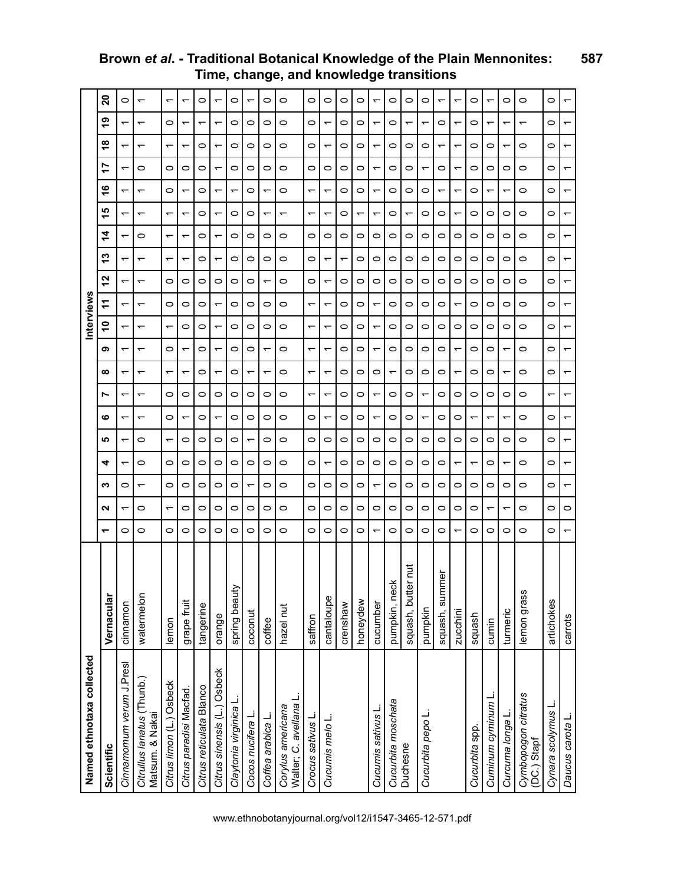| Named ethnotaxa collected                     |                    |         |   |   |         |                          |         |                               |   |                          | nterviews |                          |   |         |    |         |         |                          |   |                          |
|-----------------------------------------------|--------------------|---------|---|---|---------|--------------------------|---------|-------------------------------|---|--------------------------|-----------|--------------------------|---|---------|----|---------|---------|--------------------------|---|--------------------------|
| Scientific                                    | Vernacular         | ᅮ       | Ν | ∾ | 4       | ம                        | ဖ       | $\infty$<br>r                 | თ | ٥                        | ÷         | 12                       | 5 | 4       | 15 | ဖ       | r       | ∞                        | თ | $\mathbf{S}$             |
| Cinnamomum verum J.Presl                      | cinnamon           | 0       |   | 0 |         | ᠇                        | ᡪ       | ↽<br>᠇                        | ↽ | ᠇                        | ↽         | $\overline{\phantom{0}}$ |   | ᡪ       | ᠇  | ᠇       |         | ᠇                        |   | $\circ$                  |
| Citrullus lanatus (Thunb.)<br>Matsum. & Nakai | watermelon         | 0       | 0 | ᡪ | 0       | 0                        | ᠇       | ᠇<br>᠆                        | ᠆ | ᠇                        | ᠇         | $\overline{ }$           | ᠇ | 0       | ᠇  | ᡪ       | 0       | ᠆                        | ᠇ | $\overline{\phantom{0}}$ |
| Citrus limon (L.) Osbeck                      | lemon              | $\circ$ | ᡪ | 0 | 0       | $\overline{\phantom{0}}$ | 0       | ↽<br>0                        | 0 | ᡪ                        | 0         | 0                        | ᡪ | ᠇       | ᡪ  | 0       | 0       | ᠇                        | 0 | ᠇                        |
| Citrus paradisi Macfad.                       | grape fruit        | 0       | 0 | 0 | 0       | 0                        | ᠆       | $\overline{\phantom{0}}$<br>0 |   | $\circ$                  | 0         | $\circ$                  |   | ᠆       |    |         | 0       | ᠇                        |   | $\overline{\phantom{0}}$ |
| Citrus reticulata Blanco                      | tangerine          | 0       | 0 | 0 | 0       | 0                        | 0       | 0<br>0                        | 0 | 0                        | 0         | 0                        | 0 | 0       | 0  | 0       | 0       | 0                        | ᠇ | 0                        |
| Citrus sinensis (L.) Osbeck                   | orange             | $\circ$ | 0 | 0 | 0       | 0                        | ᠇       | ↽<br>0                        | ᡪ | ᠇                        | ᠇         | $\circ$                  |   | ᠇       | ᠇  | ᠇       |         | ᡪ                        |   | ᡪ                        |
| Claytonia virginica L                         | spring beauty      | 0       | 0 | 0 | 0       | 0                        | 0       | 0<br>0                        | 0 | 0                        | 0         | 0                        | 0 | 0       | 0  | ᠇       | 0       | 0                        | 0 | 0                        |
| Cocos nucifera L                              | coconut            | $\circ$ | 0 | ᡪ | 0       | ٣                        | $\circ$ | ٣<br>0                        | 0 | O                        | 0         | $\circ$                  | 0 | 0       | 0  | $\circ$ | $\circ$ | 0                        | 0 | ᡪ                        |
| Coffea arabica L.                             | coffee             | 0       | 0 | 0 | 0       | 0                        | 0       | ᠇<br>0                        |   | 0                        | 0         | ᡪ                        | 0 | 0       | ᠇  | ᡪ       | 0       | 0                        | 0 | 0                        |
| Walter; C. avellana<br>Corylus americana      | hazel nut          | 0       | 0 | 0 | 0       | 0                        | 0       | 0<br>0                        | 0 | 0                        | 0         | $\circ$                  | 0 | 0       | ᠇  | 0       | 0       | 0                        | 0 | 0                        |
| Crocus sativus L                              | saffron            | 0       | 0 | 0 | 0       | 0                        | 0       | ᠇<br>᠇                        | ᠇ | ᠇                        | ↽         | $\circ$                  | 0 | $\circ$ | ᠇  | ᠇       | 0       | 0                        | 0 | $\circ$                  |
| Cucumis melo L                                | cantaloupe         | 0       | 0 | 0 | ᡪ       | 0                        | ᡪ       | ᠇<br>ᡪ                        | ᡪ | $\overline{\phantom{0}}$ | ᠇         | $\overline{\phantom{0}}$ | ᠇ | 0       | ᠇  | ᡪ       | 0       | ᠆                        | ᡪ | 0                        |
|                                               | crenshaw           | 0       | 0 | 0 | $\circ$ | 0                        | $\circ$ | $\circ$<br>0                  | 0 | 0                        | 0         | $\circ$                  | ۳ | 0       | 0  | $\circ$ | 0       | 0                        | 0 | $\circ$                  |
|                                               | honeydew           | 0       | 0 | 0 | 0       | 0                        | 0       | 0<br>0                        | 0 | 0                        | 0         | 0                        | 0 | 0       |    | 0       | 0       | 0                        | 0 | 0                        |
| Cucumis sativus L                             | cucumber           | ᡪ       | 0 | ᡪ | $\circ$ | 0                        | ᠇       | $\circ$<br>٣                  | ↽ | ↽                        | ٣         | $\circ$                  | 0 | $\circ$ | ᠇  | ↽       | ↽       | ᠇                        |   | ᠇                        |
| Cucurbita moschata                            | pumpkin, neck      | 0       | 0 | 0 | 0       | 0                        | 0       | ᠇<br>0                        | 0 | 0                        | 0         | 0                        | 0 | 0       | 0  | 0       | 0       | 0                        | 0 | 0                        |
| Duchesne                                      | squash, butter nut | 0       | 0 | 0 | 0       | 0                        | 0       | 0<br>0                        | O | 0                        | 0         | 0                        | 0 | 0       | ᠇  | 0       | 0       | 0                        |   | 0                        |
| Cucurbita pepo L                              | pumpkin            | 0       | 0 | 0 | 0       | 0                        | ᡪ       | 0<br>᠇                        | 0 | 0                        | 0         | 0                        | 0 | 0       | 0  | 0       |         | 0                        |   | $\circ$                  |
|                                               | ēņ<br>squash, sumr | 0       | 0 | 0 | 0       | 0                        | 0       | 0<br>0                        | 0 | 0                        | 0         | $\circ$                  | 0 | 0       | 0  | ᡪ       | 0       | ᠇                        | 0 | ↽                        |
|                                               | zucchini           | ᠇       | 0 | 0 | ᠇       | 0                        | 0       | ᠇<br>0                        | ᡪ | 0                        | ᠇         | $\circ$                  | 0 | 0       | ᠇  | ↽       | ۳       | $\overline{\phantom{0}}$ | ᠇ | ᠇                        |
| Cucurbita spp.                                | squash             | 0       | 0 | 0 | ᠇       | 0                        | ᠇       | 0<br>0                        | 0 | 0                        | 0         | 0                        | 0 | 0       | 0  | 0       | 0       | 0                        | 0 | 0                        |
| Cuminum cyminum L                             | cumin              | 0       | ᠇ | 0 | 0       | 0                        | ᡪ       | 0<br>0                        | 0 | 0                        | 0         | $\circ$                  | 0 | 0       | 0  | ᡪ       | 0       | 0                        |   | ᠇                        |
| Curcuma longa L                               | turmeric           | 0       |   | 0 |         | 0                        |         | ᡪ<br>0                        |   | 0                        | 0         | $\circ$                  | 0 | $\circ$ | 0  | ᡪ       | 0       | ᠇                        |   | $\circ$                  |
| Cymbopogon citratus<br>(DC.) Stapf            | lemon grass        | $\circ$ | 0 | 0 | 0       | 0                        | 0       | 0<br>0                        | 0 | 0                        | 0         | 0                        | 0 | $\circ$ | 0  | 0       | 0       | 0                        | ᠇ | 0                        |
| Cynara scolymus L                             | artichokes         | 0       | 0 | 0 | 0       | 0                        | 0       | $\circ$<br>᠇                  | 0 | 0                        | 0         | 0                        | 0 | 0       | 0  | 0       | 0       | 0                        | 0 | 0                        |
| Daucus carota L                               | carrots            | ᠇       | 0 | ᠇ | ↽       | ↽                        | ↽       | ↽<br>᠇                        | ↽ | ᠇                        | ᠇         | $\overline{\phantom{0}}$ | ᠇ | ᠇       | ᠇  | ᠇       | ↽       | ↽                        | ᠇ | ↽                        |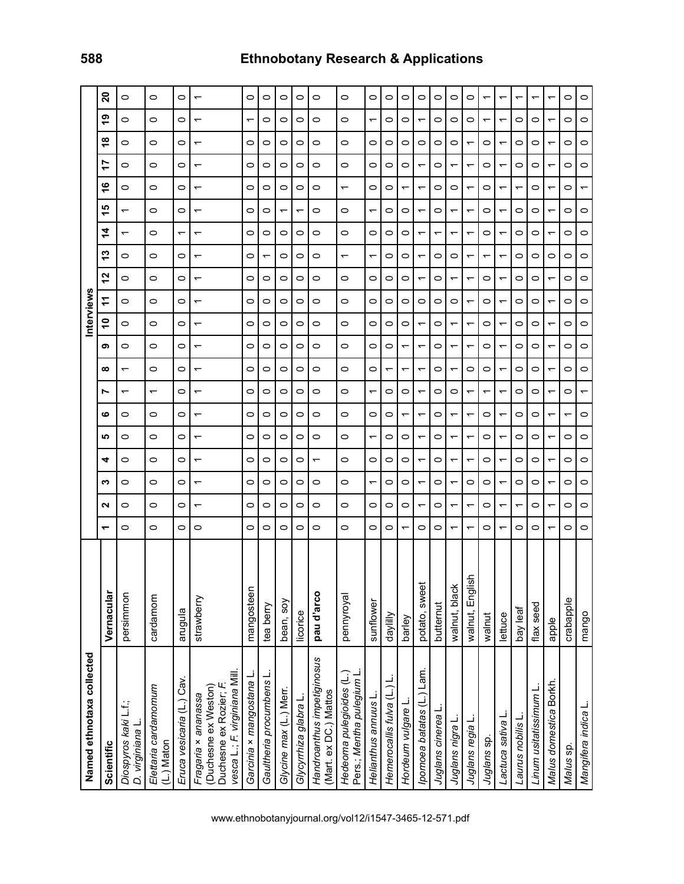| Named ethnotaxa collected                                                                             |                 |                          |    |                          |         |                |                          |                               |                |                          | nterview                 |                          |                          |                          |   |                          |                     |         |                          |                          |
|-------------------------------------------------------------------------------------------------------|-----------------|--------------------------|----|--------------------------|---------|----------------|--------------------------|-------------------------------|----------------|--------------------------|--------------------------|--------------------------|--------------------------|--------------------------|---|--------------------------|---------------------|---------|--------------------------|--------------------------|
| Scientific                                                                                            | Vernacular      | ᠆                        | ี่ | ∾                        | 4       | ம              | r<br>ဖ                   | $\infty$                      | თ              | S                        |                          | ี                        | ო                        | 4                        | ம | ဖ                        | r<br>$\overline{ }$ | ∞       | စ္                       | ຸລ                       |
| Diospyros kaki L.f.;<br>D. virginiana L                                                               | persimmon       | 0                        | 0  | 0                        | 0       | 0              | 0                        | $\overline{\phantom{0}}$<br>᠇ | 0              | 0                        | 0                        | 0                        | 0                        | $\overline{\phantom{0}}$ | ᠇ | 0                        | 0                   | 0       | 0                        | 0                        |
| Elettaria cardamomum<br>(L.) Maton                                                                    | cardamom        | $\circ$                  | 0  | $\circ$                  | $\circ$ | $\circ$        | $\circ$                  | $\circ$<br>᠇                  | $\circ$        | $\circ$                  | $\circ$                  | $\circ$                  | $\circ$                  | $\circ$                  | 0 | $\circ$                  | $\circ$             | $\circ$ | 0                        | $\circ$                  |
| Eruca vesicaria (L.) Cav.                                                                             | arugula         | 0                        | 0  | $\circ$                  | 0       | 0              | $\circ$                  | $\circ$<br>0                  | 0              | $\circ$                  | 0                        | $\circ$                  | $\circ$                  | ᠇                        | 0 | $\circ$                  | $\circ$             | 0       | 0                        | $\circ$                  |
| vesca L.; F. virginiana Mill.<br>(Duchesne ex Weston)<br>Duchesne ex Rozier; F<br>Fragaria × ananassa | strawberry      | 0                        | ᠇  | ᠇                        | ᡪ       | ᠇              | ᠇                        | ↽<br>ᡪ                        | ᠇              | $\overline{ }$           | ᠇                        | ᡪ                        | ᠇                        | ᠇                        | ᠇ | ᠇                        | ᠇                   | ᠆       | ↽                        | $\overline{\phantom{0}}$ |
| Garcinia × mangostana L                                                                               | mangosteen      | 0                        | 0  | 0                        | 0       | 0              | 0                        | 0<br>0                        | 0              | 0                        | 0                        | 0                        | 0                        | 0                        | 0 | 0                        | 0                   | 0       | ᠇                        | 0                        |
| Gaultheria procumbens L.                                                                              | tea berry       | 0                        | 0  | 0                        | 0       | 0              | 0                        | 0<br>0                        | 0              | 0                        | 0                        | 0                        | $\overline{\phantom{0}}$ | 0                        | 0 | 0                        | 0                   | 0       | 0                        | 0                        |
| Glycine max (L.) Merr.                                                                                | bean, soy       | 0                        | 0  | 0                        | 0       | 0              | 0                        | $\circ$<br>0                  | 0              | 0                        | 0                        | $\circ$                  | 0                        | 0                        | ᠇ | 0                        | 0                   | 0       | 0                        | 0                        |
| Glycyrrhiza glabra L.                                                                                 | licorice        | 0                        | 0  | 0                        | 0       | 0              | 0                        | $\circ$<br>0                  | 0              | 0                        | 0                        | 0                        | 0                        | 0                        |   | 0                        | 0                   | 0       | 0                        | 0                        |
| Handroanthus impetiginosus<br>(Mart. ex DC.) Mattos                                                   | pau d'arco      | 0                        | 0  | 0                        | ᠆       | 0              | 0                        | 0<br>0                        | 0              | 0                        | 0                        | 0                        | 0                        | 0                        | 0 | 0                        | 0                   | 0       | 0                        | 0                        |
| Hedeoma pulegioides (L.)<br>Pers.; Mentha pulegium L                                                  | pennyroyal      | 0                        | 0  | 0                        | 0       | 0              | 0                        | 0<br>0                        | 0              | 0                        | 0                        | $\circ$                  | $\overline{\phantom{0}}$ | 0                        | 0 | $\overline{\phantom{0}}$ | 0                   | 0       | 0                        | $\circ$                  |
| Helianthus annuus L                                                                                   | sunflower       | 0                        | 0  | ↽                        | $\circ$ | ↽              | 0                        | $\circ$<br>↽                  | $\circ$        | $\circ$                  | 0                        | $\circ$                  | $\overline{\phantom{0}}$ | 0                        | ᠇ | $\circ$                  | $\circ$             | 0       | $\overline{\phantom{0}}$ | $\circ$                  |
| Hemerocallis fulva (L.) L.                                                                            | daylilly        | 0                        | 0  | 0                        | 0       | 0              | 0                        | $\overline{ }$<br>0           | 0              | 0                        | 0                        | 0                        | 0                        | 0                        | 0 | 0                        | 0                   | 0       | 0                        | 0                        |
| Hordeum vulgare L                                                                                     | barley          | ᡪ                        | 0  | 0                        | 0       | 0              | ↽                        | ᠇<br>0                        | ↽              | 0                        | 0                        | 0                        | 0                        | 0                        | 0 | ᠇                        | 0                   | 0       | 0                        | 0                        |
| ) Lam.<br>(pomoea batatas (L.)                                                                        | potato, sweet   | 0                        | ᡪ  | $\overline{\phantom{0}}$ |         |                | $\overline{\phantom{0}}$ | ᡪ<br>ᡪ                        | ᠆              | ᠆                        | 0                        | ᡪ                        | ᠇                        | $\overline{\phantom{0}}$ |   | ᠇                        | ᡪ                   | 0       |                          | 0                        |
| Juglans cinerea L                                                                                     | butternut       | 0                        | 0  | $\circ$                  | 0       | $\circ$        | 0                        | $\circ$<br>0                  | 0              | $\circ$                  | 0                        | $\circ$                  | 0                        | $\overline{\phantom{0}}$ | 0 | $\circ$                  | 0                   | 0       | 0                        | $\circ$                  |
| Juglans nigra L                                                                                       | walnut, black   | $\overline{\phantom{0}}$ | ᡪ  | ↽                        | ᡪ       | ↽              | ᠇                        | $\overline{\phantom{0}}$<br>0 | ↽              | ᠇                        | 0                        | ٣                        | $\circ$                  | $\overline{\phantom{0}}$ | ᡪ | $\circ$                  | ↽                   | 0       | 0                        | 0                        |
| Juglans regia L                                                                                       | walnut, English | $\overline{\phantom{0}}$ | ᡪ  | 0                        |         | ᠆              | $\overline{\phantom{0}}$ | $\circ$<br>᠇                  | ᠆              | $\overline{\phantom{0}}$ | ᠇                        | $\overline{\phantom{0}}$ | ᠆                        | ᠆                        |   | $\overline{\phantom{0}}$ | ᠇                   |         | 0                        | 0                        |
| Juglans sp.                                                                                           | walnut          | 0                        | 0  | 0                        | 0       | 0              | 0                        | $\circ$<br>᠇                  | 0              | 0                        | 0                        | 0                        | ᠇                        | 0                        | 0 | 0                        | 0                   | 0       | ᠇                        | ᠇                        |
| Lactuca sativa L                                                                                      | lettuce         | ᠇                        | ᠇  | ᠇                        |         | ᠇              | ↽                        | ۳<br>ᡪ                        | ↽              | ᠇                        | ۳                        | ↽                        | $\overline{\phantom{0}}$ | ᡪ                        | ۳ | ᡪ                        | ↽                   | ᡪ       | ᠇                        | ᡪ                        |
| Laurus nobilis L.                                                                                     | bay leaf        | 0                        |    | $\circ$                  | 0       | 0              | 0                        | $\circ$<br>0                  | 0              | 0                        | 0                        | 0                        | 0                        | 0                        | 0 | ᠇                        | 0                   | 0       | 0                        | ᡪ                        |
| Linum usitatissimum L                                                                                 | flax seed       | 0                        | 0  | 0                        | 0       | 0              | 0                        | 0<br>0                        | 0              | 0                        | 0                        | 0                        | 0                        | 0                        | 0 | 0                        | 0                   | 0       | 0                        | ᡪ                        |
| Malus domestica Borkh                                                                                 | apple           | ᠇                        | ᠇  | ᠇                        |         | $\overline{ }$ | $\overline{\phantom{0}}$ | $\overline{ }$<br>↽           | $\overline{ }$ | $\overline{ }$           | $\overline{\phantom{0}}$ | ᠇                        | $\circ$                  | $\overline{ }$           |   | $\overline{ }$           | ᠇                   |         |                          | ᡪ                        |
| Malus sp.                                                                                             | crabapple       | 0                        | 0  | 0                        | 0       | 0              | $\overline{\phantom{0}}$ | 0<br>0                        | 0              | 0                        | 0                        | 0                        | 0                        | 0                        | 0 | 0                        | 0                   | 0       | 0                        | 0                        |
| Mangifera indica L.                                                                                   | mango           | 0                        | 0  | 0                        | 0       | 0              | ᡪ<br>0                   | $\circ$                       | 0              | 0                        | 0                        | $\circ$                  | $\circ$                  | 0                        | 0 | $\overline{\phantom{0}}$ | 0                   | 0       | 0                        | 0                        |

# **588 Ethnobotany Research & Applications**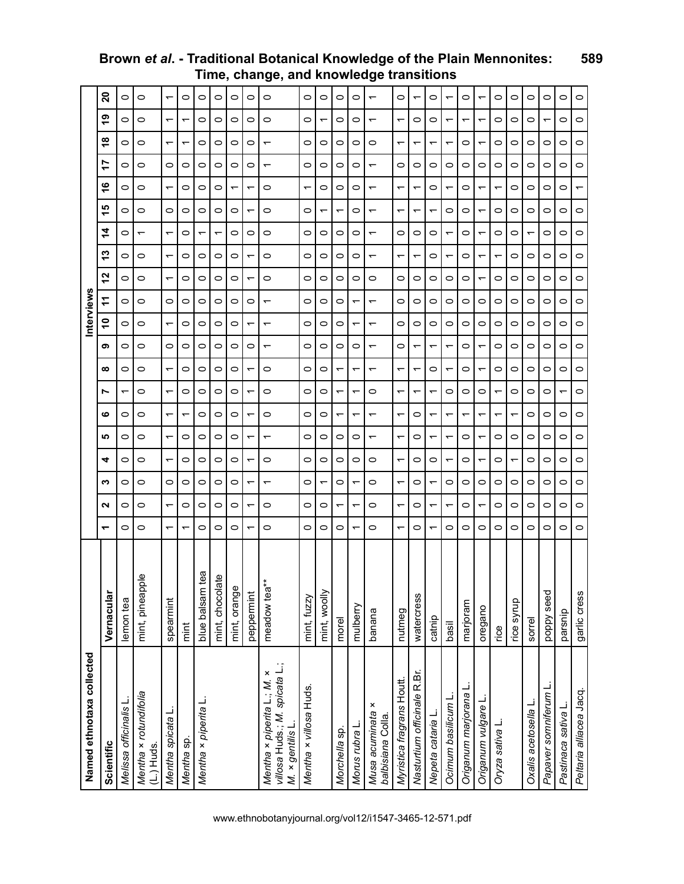| Named ethnotaxa collected                                                       |                                |                          |                          |   |         |                          |                               |                          |                          |                          | nterviews                |                          |                          |                          |                          |   |                          |                          |   |         |
|---------------------------------------------------------------------------------|--------------------------------|--------------------------|--------------------------|---|---------|--------------------------|-------------------------------|--------------------------|--------------------------|--------------------------|--------------------------|--------------------------|--------------------------|--------------------------|--------------------------|---|--------------------------|--------------------------|---|---------|
| Scientific                                                                      | Vernacular                     | ᠆                        | Ν                        | ∾ | 4       | ம                        | N<br>ဖ                        | ∞                        | თ                        | ٥Ļ                       | 7                        | 52                       | ≌                        | 4                        | ی                        | ဖ | 17                       | $\frac{8}{1}$            | თ | ຸລ      |
| Melissa officinalis L                                                           | lemon tea                      | 0                        | 0                        | 0 | 0       | 0                        | $\overline{ }$<br>0           | 0                        | 0                        | 0                        | 0                        | 0                        | 0                        | 0                        | $\circ$                  | 0 | 0                        | 0                        | 0 | $\circ$ |
| Mentha x rotundifolia<br>$(L)$ Huds.                                            | Φ<br>mint, pineappl            | 0                        | 0                        | 0 | 0       | 0                        | $\circ$<br>0                  | 0                        | O                        | 0                        | O                        | 0                        | 0                        | $\overline{\phantom{0}}$ | 0                        | 0 | 0                        | 0                        | 0 | $\circ$ |
| Mentha spicata L.                                                               | spearmint                      | ᠆                        | $\overline{\phantom{0}}$ | 0 | ᠇       | $\overline{\phantom{0}}$ | $\overline{\phantom{0}}$<br>↽ | $\overline{\phantom{0}}$ | 0                        | ᠇                        | 0                        | $\overline{\phantom{0}}$ | $\overline{\phantom{0}}$ | ᠆                        | 0                        | ᠆ | 0                        | ↽                        | ᠇ |         |
| Mentha sp.                                                                      | mint                           | ᠇                        | 0                        | 0 | 0       | 0                        | $\circ$<br>ᡪ                  | 0                        | O                        | 0                        | 0                        | 0                        | 0                        | 0                        | 0                        | 0 | 0                        | ᠇                        | ᡪ | $\circ$ |
| Mentha × piperita L                                                             | blue balsam tea                | 0                        | $\circ$                  | 0 | 0       | 0                        | $\circ$<br>0                  | 0                        | 0                        | 0                        | 0                        | 0                        | 0                        |                          | $\circ$                  | 0 | 0                        | 0                        | 0 | $\circ$ |
|                                                                                 | $\mathbf{v}$<br>mint, chocolat | 0                        | $\circ$                  | 0 | 0       | 0                        | $\circ$<br>0                  | 0                        | 0                        | 0                        | $\circ$                  | 0                        | 0                        | ᠇                        | $\circ$                  | 0 | 0                        | 0                        | 0 | $\circ$ |
|                                                                                 | mint, orange                   | 0                        | 0                        | 0 | 0       | 0                        | $\circ$<br>0                  | 0                        | 0                        | 0                        | 0                        | 0                        | 0                        | 0                        | 0                        |   | 0                        | 0                        | 0 | $\circ$ |
|                                                                                 | peppermint                     |                          |                          |   |         | ᠆                        | $\overline{\phantom{0}}$      |                          | 0                        | ᠇                        | 0                        |                          |                          | 0                        | $\overline{\phantom{0}}$ |   | 0                        | 0                        | 0 | $\circ$ |
| villosa Huds.; M. spicata L.;<br>Mentha × piperita L.; M. ×<br>M. × gentilis L. | meadow tea**                   | 0                        | $\circ$                  |   | 0       | $\overline{\phantom{0}}$ | $\circ$<br>0                  | 0                        | ᠇                        | $\overline{\phantom{0}}$ | $\overline{\phantom{0}}$ | $\circ$                  | 0                        | 0                        | $\circ$                  | 0 | ᠆                        | $\overline{\phantom{0}}$ | 0 | $\circ$ |
| Mentha x villosa Huds.                                                          | mint, fuzzy                    | 0                        | 0                        | 0 | 0       | 0                        | 0<br>0                        | 0                        | 0                        | 0                        | 0                        | 0                        | 0                        | 0                        | 0                        | ↽ | 0                        | 0                        | 0 | $\circ$ |
|                                                                                 | mint, woolly                   | 0                        | 0                        |   | 0       | 0                        | $\circ$<br>0                  | 0                        | 0                        | 0                        | 0                        | 0                        | 0                        | 0                        | ᠇                        | 0 | 0                        | 0                        |   | 0       |
| Morchella sp.                                                                   | morel                          | 0                        | $\overline{\phantom{0}}$ | 0 | 0       | 0                        | $\overline{\phantom{0}}$      | $\overline{\phantom{0}}$ | 0                        | 0                        | 0                        | 0                        | 0                        | 0                        | $\overline{\phantom{0}}$ | 0 | 0                        | 0                        | 0 | 0       |
| Morus rubra L                                                                   | mulberry                       | ↽                        | $\overline{\phantom{0}}$ | ᠇ | 0       | 0                        | ↽<br>᠇                        | $\overline{\phantom{0}}$ | 0                        | ↽                        | $\overline{\phantom{0}}$ | 0                        | 0                        | 0                        | 0                        | 0 | 0                        | 0                        | 0 | $\circ$ |
| ×<br>Musa acuminata<br>balbisiana Colla                                         | banana                         | $\circ$                  | 0                        | 0 | 0       | $\overline{\phantom{0}}$ | $\circ$                       | ᠇                        |                          | $\overline{\phantom{0}}$ | $\overline{\phantom{0}}$ | 0                        |                          |                          | $\overline{\phantom{0}}$ |   | $\overline{\phantom{0}}$ | 0                        |   |         |
| Myristica fragrans Houtt.                                                       | nutmeg                         | $\overline{\phantom{0}}$ | $\overline{\phantom{0}}$ | ᠇ | ᠇       | $\overline{\phantom{0}}$ | $\overline{\phantom{0}}$<br>᠇ | $\overline{\phantom{0}}$ | $\circ$                  | 0                        | $\circ$                  | $\circ$                  | $\overline{\phantom{0}}$ | 0                        | $\overline{\phantom{0}}$ | ᠇ | 0                        | ᠇                        | ᠇ | $\circ$ |
| Nasturtium officinale R.Br.                                                     | watercress                     | 0                        | 0                        | 0 | 0       | 0                        | ᠇<br>0                        | ↽                        | ᠇                        | 0                        | 0                        | 0                        | $\overline{\phantom{0}}$ | 0                        | ᠇                        | ᠇ | 0                        | ᠇                        | 0 |         |
| Nepeta cataria L                                                                | catnip                         | ↽                        | ↽                        |   | 0       | ᠇                        | ↽<br>ᡪ                        | 0                        | ᡪ                        | 0                        | 0                        | 0                        | 0                        | 0                        | ↽                        | 0 | 0                        | ᠇                        | 0 | 0       |
| Ocimum basilicum L                                                              | basil                          | 0                        | $\overline{\phantom{0}}$ | 0 | ᠇       | $\overline{\phantom{0}}$ | $\circ$                       | ᠇                        | $\overline{\phantom{0}}$ | 0                        | 0                        | 0                        | $\overline{\phantom{0}}$ |                          | 0                        |   | 0                        |                          | ᠇ |         |
| Origanum marjorana                                                              | marjoram                       | $\circ$                  | $\circ$                  | 0 | 0       | $\circ$                  | $\circ$<br>ᡪ                  | $\circ$                  | 0                        | $\circ$                  | $\circ$                  | 0                        | 0                        | 0                        | 0                        | 0 | 0                        | 0                        | ᠇ | $\circ$ |
| Origanum vulgare L                                                              | oregano                        | $\circ$                  | $\overline{\phantom{0}}$ | 0 | ᡪ       | $\overline{\phantom{0}}$ | $\circ$                       |                          |                          | 0                        | 0                        |                          | ᠆                        |                          | $\overline{\phantom{0}}$ |   | 0                        |                          |   |         |
| Oryza sativa L                                                                  | rice                           | $\circ$                  | $\circ$                  | 0 | 0       | 0                        | $\overline{\phantom{0}}$<br>ᡪ | 0                        | $\circ$                  | $\circ$                  | $\circ$                  | $\circ$                  | $\overline{\phantom{0}}$ | 0                        | $\circ$                  | ᠇ | 0                        | 0                        | 0 | $\circ$ |
|                                                                                 | rice syrup                     | 0                        | 0                        | 0 | ᡪ       | 0                        | $\circ$<br>ᡪ                  | 0                        | 0                        | 0                        | 0                        | 0                        | 0                        | 0                        | 0                        | 0 | 0                        | 0                        | 0 | $\circ$ |
| Oxalis acetosella                                                               | sorrel                         | $\circ$                  | $\circ$                  | 0 | $\circ$ | $\circ$                  | $\circ$<br>0                  | 0                        | $\circ$                  | 0                        | $\circ$                  | $\circ$                  | 0                        |                          | $\circ$                  | 0 | $\circ$                  | 0                        | 0 | $\circ$ |
| Papaver somniferum L                                                            | poppy seed                     | 0                        | 0                        | 0 | 0       | O                        | $\circ$<br>0                  | 0                        | 0                        | 0                        | 0                        | 0                        | 0                        | 0                        | 0                        | 0 | 0                        | 0                        | ᠇ | $\circ$ |
| Pastinaca sativa                                                                | parsnip                        | 0                        | 0                        | o | $\circ$ | 0                        | ↽<br>0                        | 0                        | $\circ$                  | 0                        | $\circ$                  | 0                        | 0                        | 0                        | $\circ$                  | 0 | $\circ$                  | 0                        | 0 | $\circ$ |
| Peltaria alliacea Jacq.                                                         | garlic cress                   | 0                        | 0                        | 0 | 0       | 0                        | $\circ$<br>0                  | 0                        | 0                        | 0                        | 0                        | 0                        | 0                        | 0                        | 0                        |   | 0                        | 0                        | 0 | 0       |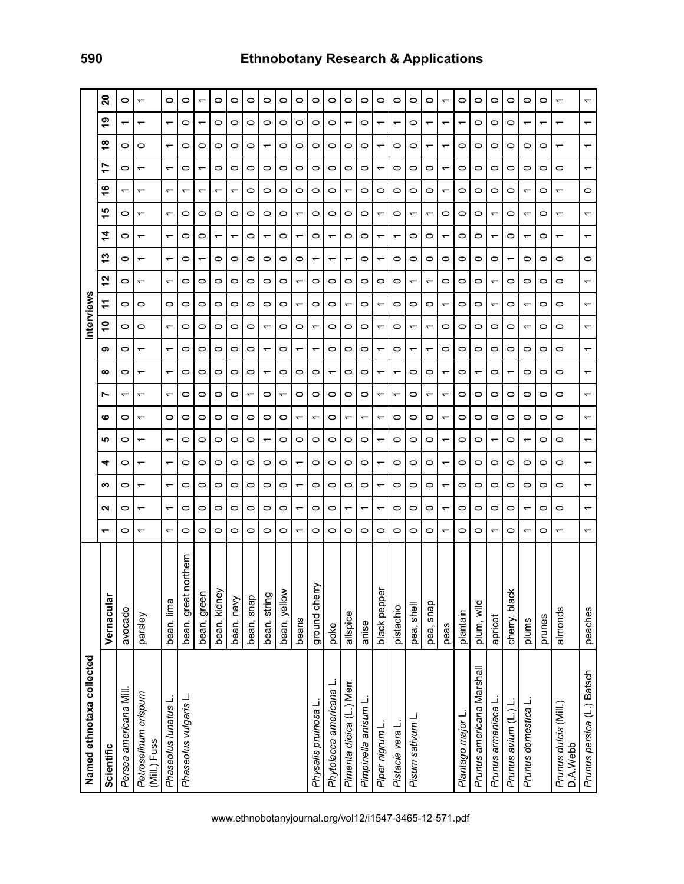| Named ethnotaxa collected            |                      |                          |                          |                          |   |                          |                          |                          |                          |                          | nterview                 |                          |                          |                          |                          |                                                      |                          |                          |                          |                          |  |
|--------------------------------------|----------------------|--------------------------|--------------------------|--------------------------|---|--------------------------|--------------------------|--------------------------|--------------------------|--------------------------|--------------------------|--------------------------|--------------------------|--------------------------|--------------------------|------------------------------------------------------|--------------------------|--------------------------|--------------------------|--------------------------|--|
| Scientific                           | Vernacular           | ↽                        | Ν                        | ∾                        | 4 | <b>SC</b>                | ဖ                        | r                        | ထ                        | თ                        | $\tilde{=}$              | ż                        | 27                       | 13                       | 4                        | $\frac{6}{1}$<br>ω                                   | 17                       |                          | စ္<br>œ                  | 20                       |  |
| Persea americana Mill                | avocado              | 0                        | 0                        | 0                        | 0 | 0                        | 0                        | ᠇                        | 0                        | 0                        | $\circ$                  | 0                        | 0                        | 0                        | 0                        | ᠇<br>0                                               | 0                        | 0                        | $\overline{\phantom{0}}$ | 0                        |  |
| Petroselinum crispum<br>(Mill.) Fuss | parsley              | $\overline{\phantom{0}}$ | $\overline{\phantom{0}}$ | $\overline{\phantom{0}}$ |   | $\overline{\phantom{0}}$ | ᠇                        | $\overline{\phantom{0}}$ | ↽                        |                          | 0                        | 0                        | $\overline{\phantom{0}}$ | $\overline{\phantom{0}}$ | $\overline{\phantom{0}}$ | $\overline{\phantom{0}}$<br>$\overline{\phantom{0}}$ | $\overline{\phantom{0}}$ | $\circ$                  | $\overline{\phantom{0}}$ | $\overline{\phantom{0}}$ |  |
| Phaseolus lunatus L.                 | bean, lima           | $\overline{\phantom{0}}$ | ᠇                        | $\overline{\phantom{0}}$ | ᠇ | $\overline{\phantom{0}}$ | 0                        | $\overline{\phantom{0}}$ | ᠆                        | ᠇                        | $\overline{\phantom{0}}$ | 0                        | ᠆                        | ↽                        | $\overline{\phantom{0}}$ | $\overline{\phantom{0}}$                             | ᠇                        | ᠇                        | $\overline{\phantom{0}}$ | 0                        |  |
| Phaseolus vulgaris L                 | bean, great northern | $\circ$                  | 0                        | 0                        | 0 | 0                        | 0                        | 0                        | 0                        | 0                        | $\circ$                  | 0                        | 0                        | 0                        | 0                        | ᠇<br>0                                               | 0                        | 0                        | 0                        | 0                        |  |
|                                      | bean, green          | 0                        | 0                        | 0                        | 0 | 0                        | 0                        | 0                        | 0                        | 0                        | 0                        | 0                        | 0                        | ٣                        | 0                        | ↽<br>0                                               | ↽                        | 0                        | ↽                        | ᡪ                        |  |
|                                      | bean, kidney         | 0                        | 0                        | 0                        | 0 | 0                        | 0                        | 0                        | 0                        | 0                        | 0                        | 0                        | 0                        | 0                        | $\overline{\phantom{0}}$ | ↽<br>0                                               | 0                        | 0                        | 0                        | 0                        |  |
|                                      | bean, navy           | $\circ$                  | 0                        | O                        | 0 | 0                        | 0                        | 0                        | 0                        | 0                        | O                        | 0                        | 0                        | 0                        |                          | $\overline{\phantom{0}}$<br>0                        | 0                        | O                        | 0                        | 0                        |  |
|                                      | bean, snap           | $\circ$                  | 0                        | 0                        | 0 | $\circ$                  | 0                        | $\overline{\phantom{0}}$ | 0                        | 0                        | 0                        | 0                        | 0                        | 0                        | $\circ$                  | 0<br>0                                               | 0                        | 0                        | 0                        | $\circ$                  |  |
|                                      | bean, string         | 0                        | 0                        | $\circ$                  | 0 | $\overline{\phantom{0}}$ | 0                        | 0                        | ↽                        | ↽                        | $\overline{\phantom{0}}$ | 0                        | 0                        | 0                        | $\overline{\phantom{0}}$ | 0<br>0                                               | 0                        | $\overline{\phantom{0}}$ | 0                        | 0                        |  |
|                                      | bean, yellow         | $\circ$                  | $\circ$                  | $\circ$                  | 0 | $\circ$                  | $\circ$                  | ᠇                        | $\circ$                  | $\circ$                  | $\circ$                  | 0                        | 0                        | $\circ$                  | $\circ$                  | $\circ$<br>$\circ$                                   | $\circ$                  | $\circ$                  | 0                        | $\circ$                  |  |
|                                      | beans                |                          |                          | $\overline{\phantom{0}}$ |   | 0                        |                          | 0                        | 0                        |                          | 0                        | $\overline{\phantom{0}}$ | ᠇                        | 0                        | $\overline{\phantom{0}}$ | 0                                                    | 0                        | 0                        | 0                        | 0                        |  |
| Physalis pruinosa L.                 | ≻<br>ground cherr    | $\circ$                  | 0                        | O                        | 0 | $\circ$                  | ᠇                        | O                        | 0                        | $\overline{\phantom{0}}$ | $\overline{\phantom{m}}$ | O                        | 0                        | ↽                        | $\circ$                  | 0<br>0                                               | 0                        | $\circ$                  | 0                        | 0                        |  |
| Phytolacca americana L.              | poke                 | $\circ$                  | $\circ$                  | 0                        | 0 | 0                        | $\circ$                  | $\circ$                  | ↽                        | 0                        | $\circ$                  | 0                        | 0                        | ᡪ                        | $\overline{\phantom{0}}$ | 0<br>$\circ$                                         | 0                        | $\circ$                  | 0                        | 0                        |  |
| Pimenta dioica (L.) Merr.            | allspice             | 0                        | $\overline{\phantom{0}}$ | 0                        | 0 | 0                        | ᠆                        | 0                        | 0                        | 0                        | 0                        | $\overline{\phantom{0}}$ | 0                        | $\overline{\phantom{0}}$ | 0                        | $\overline{\phantom{m}}$<br>0                        | 0                        | 0                        | $\overline{\phantom{0}}$ | 0                        |  |
| Pimpinella anisum L                  | anise                | $\circ$                  | $\overline{\phantom{0}}$ | $\circ$                  | 0 | $\circ$                  | $\overline{\phantom{0}}$ | $\circ$                  | 0                        | 0                        | $\circ$                  | 0                        | 0                        | 0                        | $\circ$                  | $\circ$<br>0                                         | 0                        | $\circ$                  | 0                        | 0                        |  |
| Piper nigrum L                       | black pepper         | $\circ$                  | ↽                        | $\overline{\phantom{0}}$ | ᡪ | $\overline{ }$           | ↽                        |                          | $\overline{\phantom{0}}$ | ↽                        | $\overline{\phantom{0}}$ | ↽                        | 0                        | ᡪ                        | $\overline{\phantom{0}}$ | 0<br>᠇                                               | $\overline{\phantom{0}}$ | $\overline{\phantom{0}}$ | $\overline{\phantom{0}}$ | $\circ$                  |  |
| Pistacia vera L.                     | pistachio            | $\circ$                  | 0                        | $\circ$                  | 0 | $\circ$                  | 0                        | $\overline{\phantom{0}}$ | ᠇                        | 0                        | $\circ$                  | 0                        | 0                        | 0                        | $\overline{\phantom{0}}$ | $\circ$<br>$\circ$                                   | 0                        | $\circ$                  | ᠆                        | $\circ$                  |  |
| Pisum sativum L                      | pea, shell           | $\circ$                  | 0                        | $\circ$                  | 0 | $\circ$                  | 0                        | 0                        | $\circ$                  | $\overline{\phantom{0}}$ | $\overline{\phantom{0}}$ | 0                        | $\overline{\phantom{0}}$ | 0                        | $\circ$                  | $\circ$<br>᠇                                         | 0                        | $\circ$                  | 0                        | $\circ$                  |  |
|                                      | pea, snap            | 0                        | 0                        | 0                        | 0 | 0                        | 0                        | ᠆                        | 0                        | ↽                        | ᠇                        | 0                        | ᠇                        | 0                        | $\circ$                  | 0<br>$\overline{\phantom{0}}$                        | 0                        | ↽                        | ᠇                        | 0                        |  |
|                                      | peas                 | $\overline{\phantom{0}}$ | ᠇                        | $\overline{\phantom{0}}$ | ᠇ | $\overline{\phantom{0}}$ | $\overline{\phantom{0}}$ | $\overline{\phantom{0}}$ | $\overline{\phantom{0}}$ | 0                        | 0                        | ᠇                        | 0                        | 0                        | $\overline{\phantom{0}}$ | $\overline{\phantom{0}}$<br>0                        | $\overline{\phantom{0}}$ | $\overline{\phantom{0}}$ | ᠆                        | ᠇                        |  |
| Plantago major L                     | plantain             | $\circ$                  | 0                        | 0                        | 0 | 0                        | 0                        | 0                        | 0                        | 0                        | $\circ$                  | 0                        | 0                        | 0                        | 0                        | 0<br>0                                               | 0                        | 0                        | $\overline{\phantom{0}}$ | 0                        |  |
| Prunus americana Marshall            | plum, wild           | O                        | $\circ$                  | $\circ$                  | 0 | $\circ$                  | $\circ$                  | $\circ$                  | ᠇                        | $\circ$                  | $\circ$                  | 0                        | 0                        | 0                        | $\circ$                  | $\circ$<br>$\circ$                                   | $\circ$                  | $\circ$                  | 0                        | $\circ$                  |  |
| Prunus armeniaca L                   | apricot              | $\overline{\phantom{0}}$ | 0                        | 0                        | 0 | $\overline{\phantom{0}}$ | 0                        | 0                        | 0                        | 0                        | 0                        | $\overline{\phantom{0}}$ | ᠆                        | 0                        | $\overline{\phantom{0}}$ | 0                                                    | 0                        | $\circ$                  | 0                        | 0                        |  |
| Prunus avium (L.) L                  | cherry, black        | $\circ$                  | $\circ$                  | $\circ$                  | 0 | $\circ$                  | 0                        | $\circ$                  | ↽                        | $\circ$                  | $\circ$                  | 0                        | 0                        | ↽                        | $\circ$                  | $\circ$<br>$\circ$                                   | 0                        | $\circ$                  | 0                        | 0                        |  |
| Prunus domestica L                   | plums                | ᠇                        | $\overline{ }$           | $\circ$                  | 0 | $\overline{\phantom{0}}$ | 0                        | $\circ$                  | 0                        | $\circ$                  |                          | $\overline{\phantom{0}}$ | $\circ$                  | 0                        | ↽                        | $\overline{\phantom{0}}$                             | 0                        | $\circ$                  | ᠇                        | $\circ$                  |  |
|                                      | prunes               | 0                        | 0                        | 0                        | 0 | $\circ$                  | 0                        | 0                        | 0                        | 0                        | 0                        | 0                        | 0                        | 0                        | 0                        | 0<br>0                                               | 0                        | $\circ$                  | ᠇                        | 0                        |  |
| Prunus dulcis (Mill.)<br>D.A.Webb    | almonds              | ᠆                        | 0                        | $\circ$                  | 0 | $\circ$                  | 0                        | 0                        | 0                        | 0                        | 0                        | 0                        | 0                        | 0                        | $\overline{\phantom{0}}$ | $\overline{\phantom{0}}$<br>᠆                        | 0                        | $\overline{\phantom{0}}$ | $\overline{\phantom{0}}$ | $\overline{\phantom{0}}$ |  |
| Prunus persica (L.) Batsch           | peaches              | $\overline{\phantom{0}}$ | ᠆                        | $\overline{\phantom{0}}$ | ↽ | $\overline{\phantom{0}}$ | ↽                        | $\overline{\phantom{0}}$ | ↽                        | $\overline{\phantom{0}}$ | $\overline{\phantom{0}}$ | ᠆                        | ↽                        | 0                        | $\overline{\phantom{0}}$ | 0<br>$\overline{\phantom{0}}$                        | $\overline{\phantom{0}}$ | $\overline{\phantom{0}}$ | $\overline{\phantom{0}}$ | $\overline{\phantom{0}}$ |  |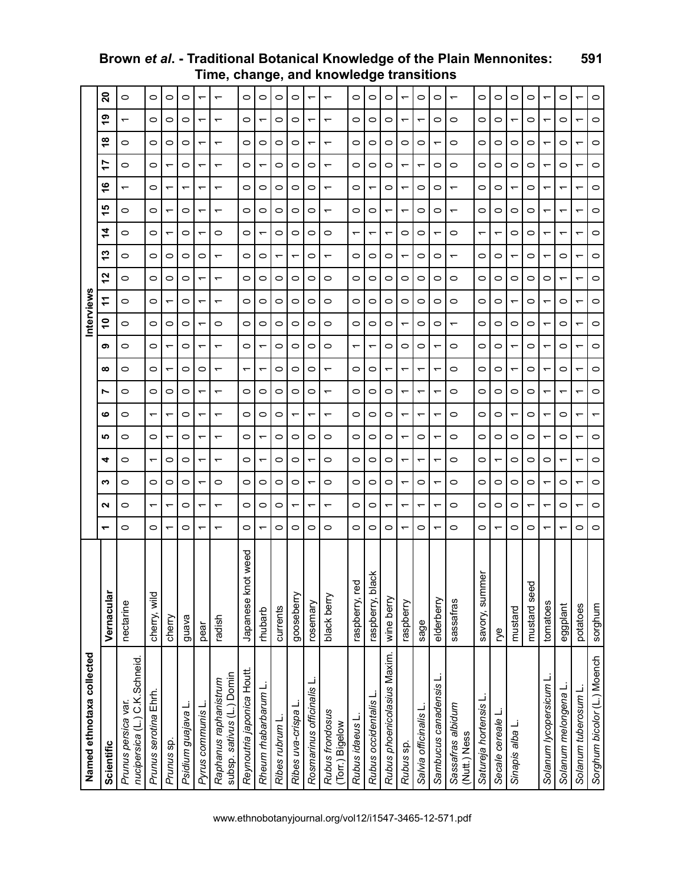| Named ethnotaxa collected                            |                    |         |         |   |                          |                          |                                     |   |         |         | nterview |         |   |   |                          |                          |                          |   |                          |                          |
|------------------------------------------------------|--------------------|---------|---------|---|--------------------------|--------------------------|-------------------------------------|---|---------|---------|----------|---------|---|---|--------------------------|--------------------------|--------------------------|---|--------------------------|--------------------------|
| Scientific                                           | Vernacular         | ᅮ       | ี่      | ∾ | 4                        | ம                        | N<br>ဖ                              | ∞ | თ       | S       | ź        | N       | ო | 4 | ഥ                        | ဖ                        | r                        | Ҿ | თ                        | ន                        |
| nucipersica (L.) C.K.Schneid.<br>Prunus persica var. | nectarine          | 0       | 0       | 0 | 0                        | 0                        | 0<br>0                              | 0 | 0       | 0       | 0        | 0       | 0 | 0 | 0                        | $\overline{\phantom{0}}$ | 0                        | 0 | $\overline{\phantom{0}}$ | 0                        |
| Prunus serotina Ehrh                                 | cherry, wild       | 0       |         | 0 | ᠆                        | 0                        | 0<br>ᡪ                              | 0 | 0       | 0       | 0        | 0       | 0 | 0 | 0                        | 0                        | 0                        | 0 | 0                        | $\circ$                  |
| Prunus sp.                                           | cherry             | ᡪ       | ᡪ       | 0 | $\circ$                  | ᠇                        | $\circ$<br>᠇                        | ᠇ | ᡪ       | 0       | ᠇        | 0       | 0 | ᠇ | ᡪ                        |                          |                          | 0 | 0                        | $\circ$                  |
| Psidium guajava L                                    | guava              | 0       | 0       | 0 | 0                        | 0                        | $\circ$<br>0                        | 0 | 0       | 0       | 0        | 0       | 0 | 0 | 0                        |                          | 0                        | 0 | 0                        | $\circ$                  |
| Pyrus communis L                                     | pear               | ᠆       | ᠆       | ᡪ | ᡪ                        | ᠇                        | ↽<br>ᡪ                              | 0 | ᠇       | ᠇       | ↽        | ᠆       | 0 | ᠇ | ᠆                        | ᡪ                        | ᡪ                        | ᠇ | ᡪ                        |                          |
| subsp. sativus (L.) Domin<br>Raphanus raphanistrum   | radish             | ᠇       | ᠇       | 0 | ᠇                        | $\overline{\phantom{0}}$ | $\overline{\phantom{0}}$<br>᠇       | ᠇ | ᠇       | $\circ$ | ᠇        | ᠇       |   | 0 | ᠇                        |                          | $\overline{\phantom{0}}$ | ᠇ | ↽                        | $\overline{\phantom{0}}$ |
| Reynoutria japonica Houtt.                           | Japanese knot weed | $\circ$ | $\circ$ | 0 | 0                        | 0                        | $\circ$<br>0                        | ᠇ | 0       | 0       | $\circ$  | 0       | 0 | 0 | $\circ$                  | $\circ$                  | 0                        | 0 | $\circ$                  | 0                        |
| Rheum rhabarbarum L.                                 | mubarb             |         | 0       | 0 | $\overline{\phantom{0}}$ | $\overline{\phantom{0}}$ | 0<br>0                              | ᠇ | ᠇       | 0       | 0        | 0       | 0 | ᠇ | 0                        | 0                        |                          | 0 | ᠇                        | 0                        |
| Ribes rubrum L                                       | currents           | 0       | 0       | 0 | 0                        | 0                        | 0<br>0                              | 0 | 0       | 0       | 0        | 0       | ᡪ | 0 | 0                        | 0                        | 0                        | 0 | 0                        | 0                        |
| Ribes uva-crispa                                     | gooseberry         | $\circ$ | ᠇       | 0 | $\circ$                  | 0                        | $\circ$<br>᠇                        | 0 | $\circ$ | 0       | $\circ$  | 0       | ᠇ | 0 | 0                        | 0                        | $\circ$                  | 0 | 0                        | $\circ$                  |
| Rosmarinus officinalis L.                            | rosemary           | 0       | ᡪ       | ᠇ | $\overline{\phantom{0}}$ | 0                        | 0<br>ᡪ                              | 0 | 0       | 0       | 0        | 0       | 0 | 0 | 0                        | 0                        | 0                        | ᠇ | ᠇                        |                          |
| Rubus frondosus<br>(Torr.) Bigelow                   | black berry        | 0       | ᠇       | 0 | 0                        | 0                        | $\overline{\phantom{0}}$<br>ᡪ       | ᠇ | 0       | 0       | 0        | 0       | ᠆ | 0 | $\overline{\phantom{0}}$ |                          | ᠇                        | ↽ | ᠇                        | $\overline{\phantom{0}}$ |
| Rubus idaeus L                                       | raspberry, red     | 0       | 0       | 0 | 0                        | 0                        | 0<br>0                              | 0 | ᠇       | 0       | 0        | 0       | 0 | ᠇ | 0                        | 0                        | 0                        | 0 | 0                        | $\circ$                  |
| Rubus occidentalis                                   | raspberry, black   | 0       | $\circ$ | 0 | 0                        | 0                        | $\circ$<br>0                        | 0 | ᠇       | 0       | 0        | 0       | 0 | ᠇ | $\circ$                  |                          | 0                        | 0 | 0                        | 0                        |
| Rubus phoenicolasius Maxim.                          | wine berry         | 0       | ᠇       | 0 | 0                        | 0                        | $\circ$<br>0                        | ᠆ | 0       | 0       | 0        | 0       | 0 | ᡪ | ᠇                        | 0                        | 0                        | 0 | 0                        | $\circ$                  |
| Rubus sp.                                            | raspberry          | ᠇       | ᠇       | ᠇ | ᠇                        | $\overline{\phantom{0}}$ | ᠇<br>᠇                              | ᠇ | 0       | ↽       | 0        | 0       | ᠇ | 0 | $\overline{\phantom{0}}$ | ᠇                        | ᡪ                        | 0 | ᡪ                        | ᠇                        |
| Salvia officinalis L                                 | sage               | 0       | ᠇       | 0 | ᡪ                        | 0                        | ᠇<br>ᡪ                              | ᠇ | 0       | 0       | 0        | $\circ$ | 0 | 0 | 0                        | 0                        | ᡪ                        | 0 | ᡪ                        | 0                        |
| Sambucus canadensis L                                | elderberry         |         | ᡪ       |   |                          | ᠇                        | ᠇                                   |   |         | 0       | 0        | 0       | 0 |   | 0                        | 0                        | 0                        |   | 0                        | $\circ$                  |
| Sassafras albidum<br>(Nutt.) Ness                    | sassafras          | 0       | 0       | 0 | 0                        | 0                        | $\circ$<br>0                        | 0 | 0       | ᠆       | 0        | 0       | ᠆ | 0 | $\overline{\phantom{0}}$ |                          | 0                        | 0 | 0                        | $\overline{\phantom{0}}$ |
| Satureja hortensis L.                                | ە<br>savory, summ  | 0       | 0       | 0 | 0                        | 0                        | 0<br>0                              | 0 | 0       | 0       | 0        | 0       | 0 | ᠇ | 0                        | 0                        | 0                        | 0 | 0                        | $\circ$                  |
| Secale cereale L                                     | ŗуе                | ᠇       | $\circ$ | 0 | ᡪ                        | 0                        | $\circ$<br>0                        | 0 | $\circ$ | 0       | $\circ$  | 0       | 0 | ᠇ | $\circ$                  | 0                        | $\circ$                  | 0 | 0                        | $\circ$                  |
| Sinapis alba L                                       | mustard            | 0       | 0       | 0 | 0                        | 0                        | $\circ$                             |   |         | 0       | ᠇        | 0       | ᠇ | 0 | $\circ$                  |                          | 0                        | 0 | ᡪ                        | $\circ$                  |
|                                                      | mustard seed       | 0       | ᠆       | 0 | 0                        | 0                        | 0<br>0                              | 0 | 0       | 0       | 0        | 0       | 0 | 0 | 0                        | 0                        | 0                        | 0 | 0                        | $\circ$                  |
| Solanum lycopersicum L.                              | tomatoes           | ᠇       | ᠇       |   | $\circ$                  | ᠇                        | ᠇<br>ᡪ                              | ᠇ | ᡪ       | ↽       | ᠇        | 0       | ᠇ | ᠇ | ᠇                        | ᠇                        | ᠇                        | ᠇ | ᡪ                        |                          |
| Solanum melongena L                                  | eggplant           |         | $\circ$ | 0 |                          | 0                        | $\overline{\phantom{0}}$<br>0       | 0 | 0       | 0       | 0        |         | 0 |   | ᠇                        | ᠇                        | 0                        | 0 | 0                        | 0                        |
| Solanum tuberosum L                                  | potatoes           | 0       | ᠇       |   | ᡪ                        | ↽                        | ᠇<br>ᡪ                              | ᠇ | ᠇       | ᠇       | ᠇        | ᠇       | ᡪ | ᠇ | ᠇                        |                          | ᡪ                        | ᠇ | ᡪ                        |                          |
| Sorghum bicolor (L.) Moench                          | sorghum            | 0       | 0       | 0 | 0                        | $\circ$                  | $\circ$<br>$\overline{\phantom{0}}$ | 0 | 0       | $\circ$ | $\circ$  | 0       | 0 | 0 | 0                        | $\circ$                  | $\circ$                  | 0 | 0                        | $\circ$                  |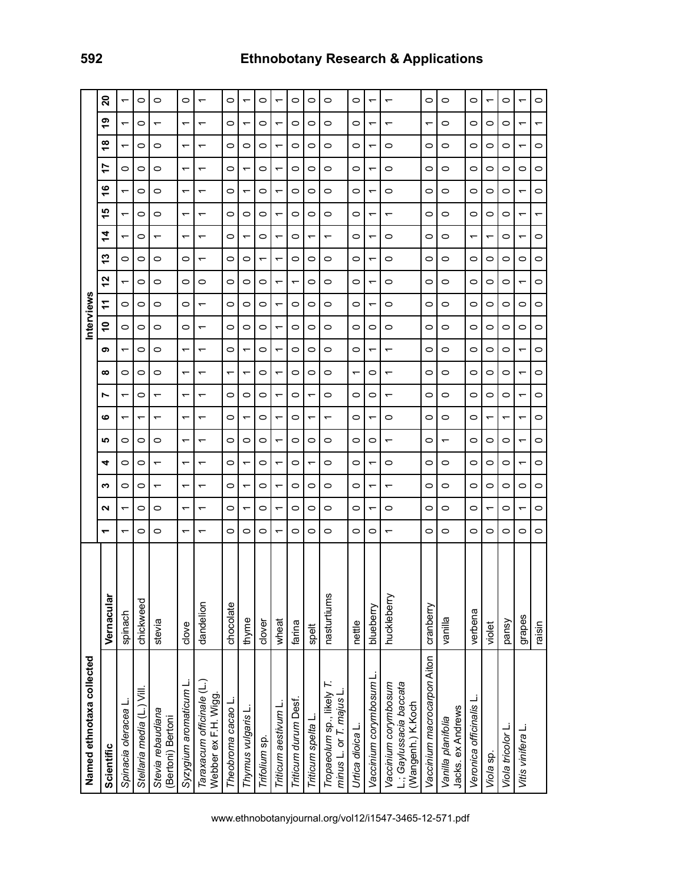| 17<br>0<br>0<br>$\circ$<br>0<br>᠇<br>$\overline{\phantom{0}}$<br>᠇<br>۽<br>$\circ$<br>0<br>$\overline{\phantom{0}}$<br>0<br>᠇<br>$\overline{\phantom{0}}$<br>᠇<br>15<br>$\circ$<br>$\circ$<br>0<br>$\circ$<br>᠆<br>᠇<br>᠇<br>4<br>0<br>0<br>$\overline{\phantom{0}}$<br>᠆<br>᠇<br>᠇<br>᠇<br>13<br>$\circ$<br>$\circ$<br>$\circ$<br>$\circ$<br>0<br>0<br>$\overline{\phantom{0}}$<br>2<br>0<br>0<br>0<br>0<br>0<br>0<br>$\overline{\phantom{0}}$<br>÷<br>$\circ$<br>$\circ$<br>0<br>$\circ$<br>0<br>0<br>↽<br>S<br>$\circ$<br>0<br>0<br>0<br>0<br>0<br>᠇<br>თ<br>$\circ$<br>$\circ$<br>0<br>$\overline{\phantom{0}}$<br>$\overline{\phantom{0}}$<br>᠇<br>$\overline{ }$<br>∞<br>0<br>0<br>0<br>$\overline{\phantom{0}}$<br>↽<br>᠆<br>$\overline{\phantom{0}}$ | 0<br>0<br>0<br>0<br>$\overline{\phantom{0}}$<br>0<br>0<br>0<br>0 | ᠇<br>$\overline{\phantom{0}}$<br>$\overline{\phantom{0}}$<br>$\overline{\phantom{0}}$<br>$\overline{\phantom{0}}$<br>$\overline{\phantom{0}}$<br>$\overline{\phantom{0}}$<br>᠇ | 0<br>0<br>$\circ$<br>0<br>$\circ$<br>0<br>0<br>᠇<br>$\circ$<br>$\circ$<br>0<br>↽<br>$\circ$<br>0 | 0<br>0<br>0<br>᠇<br>0<br>0<br>0                                           | 0<br>0<br>0<br>0<br>0<br>0<br>0 | ᠇<br>$\overline{\phantom{0}}$<br>$\overline{\phantom{0}}$<br>$\overline{\phantom{0}}$<br>᠇ | 0<br>0<br>᠇<br>0<br>0<br>0                                           | 0<br>0<br>0<br>0<br>0       | 0<br>0<br>0<br>0                        | 0<br>0<br>0<br>᠇             | $\circ$<br>0<br>$\circ$ | 0<br>$\circ$<br>0<br>0                        | $\circ$<br>$\overline{\phantom{0}}$                                                   |
|--------------------------------------------------------------------------------------------------------------------------------------------------------------------------------------------------------------------------------------------------------------------------------------------------------------------------------------------------------------------------------------------------------------------------------------------------------------------------------------------------------------------------------------------------------------------------------------------------------------------------------------------------------------------------------------------------------------------------------------------------------------|------------------------------------------------------------------|--------------------------------------------------------------------------------------------------------------------------------------------------------------------------------|--------------------------------------------------------------------------------------------------|---------------------------------------------------------------------------|---------------------------------|--------------------------------------------------------------------------------------------|----------------------------------------------------------------------|-----------------------------|-----------------------------------------|------------------------------|-------------------------|-----------------------------------------------|---------------------------------------------------------------------------------------|
|                                                                                                                                                                                                                                                                                                                                                                                                                                                                                                                                                                                                                                                                                                                                                              |                                                                  |                                                                                                                                                                                |                                                                                                  |                                                                           |                                 |                                                                                            |                                                                      |                             |                                         |                              |                         |                                               |                                                                                       |
|                                                                                                                                                                                                                                                                                                                                                                                                                                                                                                                                                                                                                                                                                                                                                              |                                                                  |                                                                                                                                                                                |                                                                                                  |                                                                           |                                 |                                                                                            |                                                                      |                             |                                         |                              |                         |                                               |                                                                                       |
|                                                                                                                                                                                                                                                                                                                                                                                                                                                                                                                                                                                                                                                                                                                                                              |                                                                  |                                                                                                                                                                                |                                                                                                  |                                                                           |                                 |                                                                                            |                                                                      |                             |                                         | 0<br>$\circ$                 | $\circ$                 | $\circ$                                       | 0                                                                                     |
|                                                                                                                                                                                                                                                                                                                                                                                                                                                                                                                                                                                                                                                                                                                                                              |                                                                  |                                                                                                                                                                                |                                                                                                  | $\circ$<br>0<br>0                                                         | 0                               | ↽<br>0                                                                                     | 0<br>0                                                               | 0<br>0<br>0                 | 0<br>0<br>$\circ$                       | 0<br>0<br>0                  | 0<br>0<br>0             | 0<br>$\circ$<br>0                             | ᠇<br>$\circ$<br>0                                                                     |
| 0<br>0<br>↽<br>0<br>$\overline{\phantom{0}}$<br>↽                                                                                                                                                                                                                                                                                                                                                                                                                                                                                                                                                                                                                                                                                                            | 0<br>0<br>0                                                      | $\overline{\phantom{0}}$<br>᠇<br>$\overline{\phantom{0}}$<br>$\overline{\phantom{0}}$                                                                                          | $\circ$<br>0<br>$\circ$<br>0<br>$\circ$<br>$\overline{\phantom{0}}$<br>$\circ$<br>᠇              | 0<br>0<br>$\circ$<br>$\overline{\phantom{0}}$                             | 0<br>᠇<br>0<br>0                | $\overline{\phantom{0}}$<br>0<br>0<br>$\overline{\phantom{0}}$                             | ↽<br>↽<br>$\overline{\phantom{0}}$<br>0                              | 0<br>0<br>0<br>0            | 0<br>0<br>0<br>0                        | $\circ$<br>0<br>$\circ$<br>0 | $\circ$<br>0<br>0<br>᠇  | 0<br>$\circ$<br>0<br>$\overline{\phantom{0}}$ | $\overline{\phantom{0}}$<br>᠇<br>$\overline{\phantom{0}}$<br>$\overline{\phantom{0}}$ |
| 0<br>$\circ$<br>0<br>᠇<br>0<br>↽<br>0                                                                                                                                                                                                                                                                                                                                                                                                                                                                                                                                                                                                                                                                                                                        | 0<br>0<br>0                                                      | $\overline{\phantom{0}}$<br>$\overline{\phantom{0}}$                                                                                                                           | $\circ$<br>$\circ$<br>0<br>᠇<br>0<br>0                                                           | $\circ$<br>0<br>0                                                         | 0<br>0<br>0                     | 0<br>$\overline{\phantom{0}}$                                                              | $\overline{\phantom{0}}$<br>0<br>᠇                                   | $\circ$<br>0<br>0           | $\overline{\phantom{0}}$<br>0<br>0      | $\circ$<br>0<br>0            | 0<br>$\circ$<br>0       | $\circ$<br>0<br>$\circ$                       | $\overline{\phantom{0}}$<br>0                                                         |
| ᡪ<br>0                                                                                                                                                                                                                                                                                                                                                                                                                                                                                                                                                                                                                                                                                                                                                       | 0<br>0                                                           | $\overline{\phantom{0}}$<br>᠆                                                                                                                                                  | 0<br>0<br>0<br>0                                                                                 | 0<br>0                                                                    | 0<br>$\circ$                    | 0                                                                                          | 0<br>᠇                                                               | 0<br>0                      | 0<br>0                                  | 0<br>0                       | ᡪ<br>0                  | 0<br>0                                        | $\overline{\phantom{0}}$<br>0                                                         |
| chocolate<br>thyme                                                                                                                                                                                                                                                                                                                                                                                                                                                                                                                                                                                                                                                                                                                                           | clover                                                           | wheat                                                                                                                                                                          | farina<br>spelt                                                                                  | nasturtiums                                                               | nettle                          | blueberry                                                                                  | huckleberry                                                          | cranberry                   | vanilla                                 | verbena                      | violet                  | pansy                                         | grapes                                                                                |
|                                                                                                                                                                                                                                                                                                                                                                                                                                                                                                                                                                                                                                                                                                                                                              |                                                                  | Triticum aestivum L<br>Thymus vulgaris L<br>Trifolium sp.                                                                                                                      | Triticum durum Desf.                                                                             | Tropaeolum sp., likely T.<br>minus L. or T. majus L.<br>Triticum spelta L | Urtica dioica L.                | Vaccinium corymbosum L                                                                     | L.; Gaylussacia baccata<br>Vaccinium corymbosum<br>(Wangenh.) K.Koch | Vaccinium macrocarpon Aiton | Jacks. ex Andrews<br>Vanilla planifolia | Veronica officinalis L       | Viola sp.               | Viola tricolor L.                             | Vitis vinifera L                                                                      |
|                                                                                                                                                                                                                                                                                                                                                                                                                                                                                                                                                                                                                                                                                                                                                              |                                                                  |                                                                                                                                                                                |                                                                                                  |                                                                           |                                 |                                                                                            |                                                                      |                             |                                         |                              |                         |                                               |                                                                                       |

# **592 Ethnobotany Research & Applications**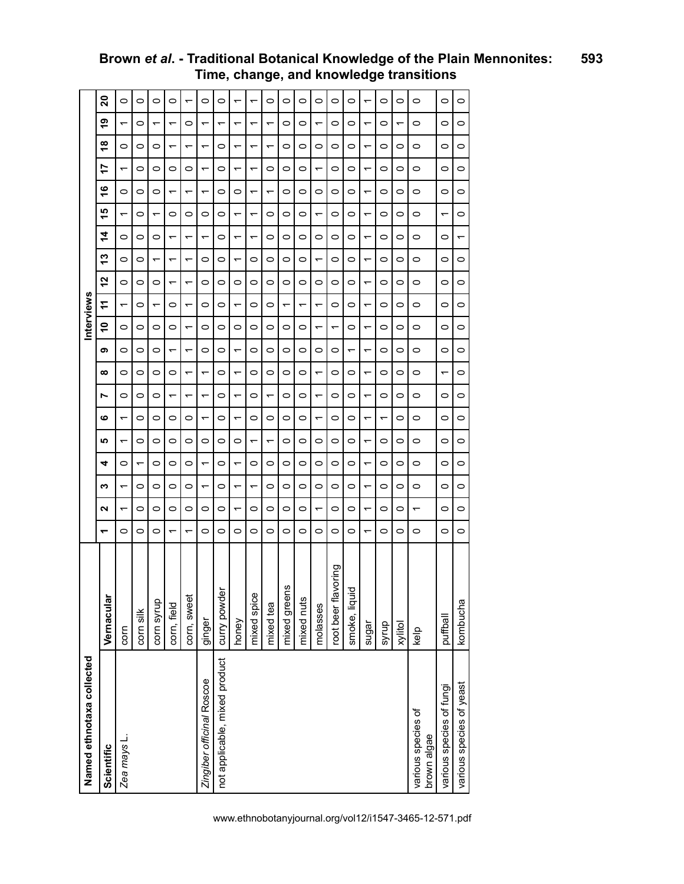| Named ethnotaxa collected     |                     |                          |                          |                          |                          |                          |                          |                               |   |                          | nterviews                |                |                          |                          |                          |                          |                          |                          |                          |         |
|-------------------------------|---------------------|--------------------------|--------------------------|--------------------------|--------------------------|--------------------------|--------------------------|-------------------------------|---|--------------------------|--------------------------|----------------|--------------------------|--------------------------|--------------------------|--------------------------|--------------------------|--------------------------|--------------------------|---------|
| Scientific                    | Vernacular          | ᅮ                        | Ν                        | ∾                        | 4                        | <b>SC</b>                | ဖ                        | ∞<br>r                        | თ | ٥Ļ                       | ÷                        | 57             | 5                        | 14                       | ی<br>ᅮ                   | ဖ                        | 17                       | $\frac{8}{1}$            | စ္                       | 20      |
| Zea mays L.                   | corn                | 0                        | ᠇                        | $\overline{\phantom{0}}$ | 0                        | $\overline{\phantom{0}}$ | ᠇                        | 0<br>0                        | 0 | 0                        | $\overline{\phantom{0}}$ | 0              | 0                        | 0                        | ᠇                        | 0                        | ᠇                        | 0                        | ᠇                        | $\circ$ |
|                               | corn silk           | 0                        | $\circ$                  | 0                        | ᠇                        | 0                        | 0                        | 0<br>0                        | 0 | 0                        | 0                        | 0              | 0                        | 0                        | $\circ$                  | 0                        | 0                        | 0                        | 0                        | $\circ$ |
|                               | corn syrup          | 0                        | 0                        | 0                        | 0                        | 0                        | 0                        | 0<br>0                        | 0 | 0                        | $\overline{\phantom{0}}$ | 0              | ᠇                        | 0                        | $\overline{\phantom{0}}$ | 0                        | 0                        | 0                        | $\overline{\phantom{0}}$ | $\circ$ |
|                               | corn, field         | $\overline{\phantom{0}}$ | O                        | 0                        | 0                        | 0                        | 0                        | 0<br>↽                        | ᠇ | O                        | 0                        |                | ↽                        | $\overline{\phantom{0}}$ | O                        | $\overline{\phantom{0}}$ | 0                        | $\overline{\phantom{0}}$ | ᠆                        | O       |
|                               | corn, sweet         | $\overline{\phantom{0}}$ | $\circ$                  | 0                        | 0                        | 0                        | 0                        | $\overline{\phantom{0}}$<br>᠇ | ᡪ | $\overline{ }$           | ᡪ                        | $\overline{ }$ | ᠇                        | $\overline{\phantom{0}}$ | $\circ$                  | ᠆                        | 0                        | $\overline{\phantom{0}}$ | 0                        | ᠇       |
| Zingiber officinal Roscoe     | ginger              | 0                        | 0                        | $\overline{\phantom{0}}$ | $\overline{\phantom{0}}$ | 0                        | $\overline{ }$           | $\overline{\phantom{0}}$<br>↽ | 0 | 0                        | 0                        | 0              | 0                        | $\overline{\phantom{0}}$ | 0                        | $\overline{\phantom{0}}$ | ↽                        | $\overline{\phantom{0}}$ | ↽                        | $\circ$ |
| not applicable, mixed product | curry powder        | 0                        | 0                        | 0                        | 0                        | 0                        | 0                        | 0<br>0                        | 0 | 0                        | 0                        | 0              | 0                        | 0                        | 0                        | 0                        | 0                        | 0                        | ᠇                        | $\circ$ |
|                               | honey               | 0                        | ↽                        | $\overline{\phantom{0}}$ | ↽                        | 0                        | ↽                        | $\overline{\phantom{0}}$<br>↽ | ᡪ | 0                        | ↽                        | 0              | ↽                        | $\overline{\phantom{0}}$ | ᠇                        | 0                        | ᠇                        | $\overline{\phantom{0}}$ | ᠇                        | ᡪ       |
|                               | mixed spice         | 0                        | $\circ$                  | ᠇                        | 0                        | ᡪ                        | 0                        | O<br>0                        | 0 | $\circ$                  | 0                        | O              | 0                        | ᠇                        | ↽                        | ᠇                        | ᡪ                        | ᠇                        | ᡪ                        | ᡪ       |
|                               | mixed tea           | 0                        | O                        | 0                        | 0                        | ↽                        | $\circ$                  | 0<br>᠇                        | 0 | O                        | 0                        | 0              | 0                        | 0                        | O                        | $\overline{\phantom{0}}$ | 0                        | $\overline{\phantom{0}}$ | ↽                        | $\circ$ |
|                               | mixed greens        | 0                        | 0                        | 0                        | 0                        | 0                        | 0                        | 0<br>0                        | 0 | 0                        | ᠆                        | 0              | 0                        | 0                        | 0                        | 0                        | 0                        | 0                        | 0                        | 0       |
|                               | mixed nuts          | 0                        | 0                        | 0                        | 0                        | 0                        | 0                        | 0<br>0                        | 0 | $\circ$                  | $\overline{\phantom{0}}$ | 0              | 0                        | 0                        | 0                        | 0                        | 0                        | 0                        | 0                        | $\circ$ |
|                               | molasses            | $\circ$                  | $\overline{\phantom{0}}$ | 0                        | 0                        | 0                        | $\overline{\phantom{0}}$ | $\overline{\phantom{0}}$<br>↽ | 0 | $\overline{\phantom{0}}$ | $\overline{\phantom{0}}$ | $\circ$        | $\overline{\phantom{0}}$ | 0                        | $\overline{\phantom{0}}$ | $\circ$                  | $\overline{\phantom{0}}$ | 0                        | $\overline{\phantom{0}}$ | $\circ$ |
|                               | root beer flavoring | 0                        | $\circ$                  | 0                        | 0                        | 0                        | $\circ$                  | O<br>$\circ$                  | 0 | $\overline{\phantom{0}}$ | 0                        | O              | 0                        | 0                        | $\circ$                  | 0                        | 0                        | 0                        | 0                        | $\circ$ |
|                               | smoke, liquid       | 0                        | $\circ$                  | 0                        | 0                        | 0                        | 0                        | 0<br>0                        | ↽ | O                        | 0                        | 0              | 0                        | 0                        | $\circ$                  | 0                        | 0                        | O                        | 0                        | $\circ$ |
|                               | sugar               | ᠆                        | ᠇                        | ᠆                        | ᠇                        | ᠆                        | $\overline{\phantom{0}}$ | $\overline{\phantom{0}}$<br>᠇ | ᠇ | $\overline{\phantom{0}}$ | ᠇                        | ᠆              | ᠇                        | ᠆                        | ᠇                        | ᠆                        | ᠇                        | ᠆                        | ᠇                        | ᠆       |
|                               | syrup               | 0                        | 0                        | 0                        | 0                        | 0                        | ↽                        | 0<br>0                        | 0 | 0                        | 0                        | 0              | 0                        | 0                        | 0                        | 0                        | 0                        | 0                        | 0                        | $\circ$ |
|                               | xylitol             | 0                        | 0                        | 0                        | 0                        | 0                        | 0                        | $\circ$<br>0                  | 0 | $\circ$                  | 0                        | 0              | 0                        | 0                        | $\circ$                  | 0                        | 0                        | 0                        | ↽                        | $\circ$ |
| various species of            | kelp                | 0                        | ᠆                        | 0                        | 0                        | O                        | 0                        | O<br>O                        | 0 | $\circ$                  | 0                        | O              | 0                        | 0                        | O                        | 0                        | 0                        | O                        | 0                        | $\circ$ |
| brown algae                   |                     |                          |                          |                          |                          |                          |                          |                               |   |                          |                          |                |                          |                          |                          |                          |                          |                          |                          |         |
| various species of fungi      | puffball            | 0                        | 0                        | 0                        | 0                        | 0                        | $\circ$                  | ↽<br>0                        | 0 | $\circ$                  | 0                        | 0              | 0                        | 0                        | ↽                        | 0                        | 0                        | 0                        | 0                        | 0       |
| various species of yeast      | kombucha            | 0                        | 0                        | 0                        | 0                        | 0                        | 0                        | 0<br>0                        | 0 | 0                        | 0                        | 0              | 0                        | ᠆                        | 0                        | 0                        | 0                        | 0                        | 0                        | $\circ$ |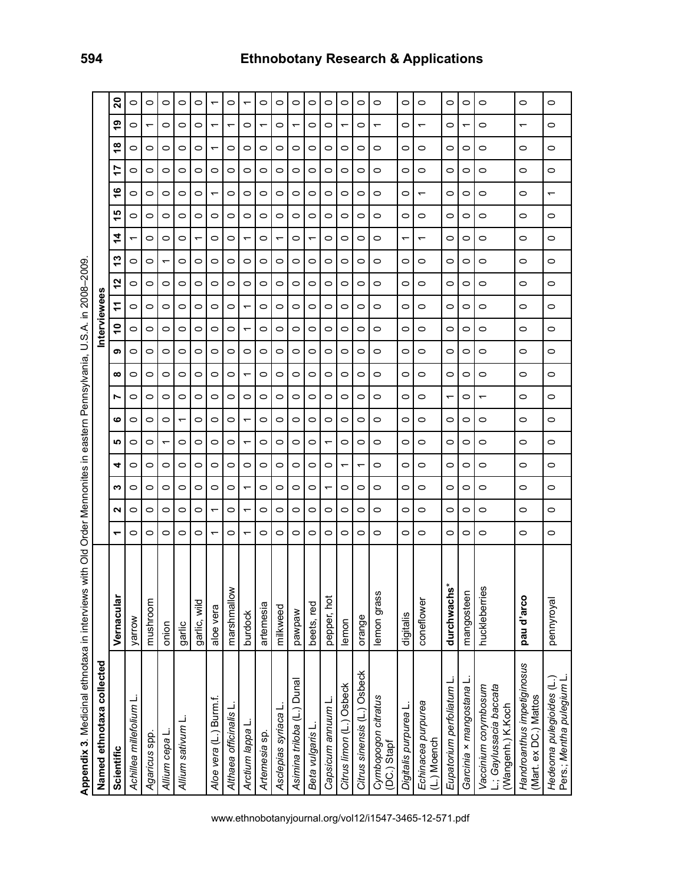Appendix 3. Medicinal ethnotaxa in interviews with Old Order Mennonites in eastern Pennsylvania, U.S.A. in 2008-2009. **Appendix 3**. Medicinal ethnotaxa in interviews with Old Order Mennonites in eastern Pennsylvania, U.S.A. in 2008–2009.

| Named ethnotaxa collected                                            |                             |   |         |         |         |           |         |                          |         |         | nterviewees |         |    |                          |                          |           |                     |   |                          |         |
|----------------------------------------------------------------------|-----------------------------|---|---------|---------|---------|-----------|---------|--------------------------|---------|---------|-------------|---------|----|--------------------------|--------------------------|-----------|---------------------|---|--------------------------|---------|
| Scientific                                                           | Vernacular                  | ᠇ | N       | ∾       | 4       | <b>SC</b> | ဖ       | r                        | ∞       | თ       | s           | F       | 57 | 13                       | ᡪ<br>4                   | <u> ဟ</u> | $\overline{1}$<br>ဖ |   | œ                        | 20<br>၈ |
| Achillea millefolium L                                               | yarrow                      | 0 | 0       | 0       | 0       | 0         | 0       | 0                        | 0       | 0       | 0           | 0       | 0  | 0                        | ᠆                        | 0         | 0<br>0              | 0 | 0                        | 0       |
| Agaricus spp.                                                        | mushroom                    | 0 | $\circ$ | $\circ$ | 0       | 0         | $\circ$ | 0                        | $\circ$ | 0       | 0           | $\circ$ | 0  | $\circ$                  | 0                        | $\circ$   | 0<br>$\circ$        | 0 | $\overline{\phantom{0}}$ | 0       |
| Allium cepa L.                                                       | onion                       | 0 | 0       | 0       | 0       |           | 0       | 0                        | 0       | 0       | 0           | $\circ$ | 0  | $\overline{\phantom{0}}$ | 0                        | 0         | 0<br>0              | 0 | $\circ$                  | 0       |
| Allium sativum                                                       | garlic                      | 0 | 0       | 0       | 0       | 0         | ᡪ       | 0                        | 0       | 0       | 0           | 0       | 0  | 0                        | 0                        | 0         | 0<br>0              | 0 | 0                        | 0       |
|                                                                      | garlic, wild                | 0 | 0       | 0       | 0       | 0         | 0       | 0                        | 0       | 0       | 0           | $\circ$ | 0  | 0                        | ᠇                        | $\circ$   | 0<br>0              | 0 | $\circ$                  | 0       |
| Aloe vera (L.) Burm.f.                                               | aloe vera                   | ᡪ | ۳       | 0       | 0       | 0         | $\circ$ | 0                        | 0       | 0       | 0           | $\circ$ | 0  | $\circ$                  | 0                        | $\circ$   | 0<br>ᡪ              | ᡪ | ᡪ                        | ᡪ       |
| Althaea officinalis L                                                | marshmallow                 | 0 | $\circ$ | 0       | 0       | 0         | $\circ$ | 0                        | $\circ$ | 0       | $\circ$     | $\circ$ | 0  | $\circ$                  | 0                        | $\circ$   | 0<br>0              | 0 | $\overline{\phantom{0}}$ | 0       |
| Arctium lappa                                                        | burdock                     | ᡪ | ᡪ       | ᡪ       | 0       |           | ᠇       | 0                        | ᠇       | 0       | ↽           | ᡪ       | 0  | 0                        | ↽                        | 0         | 0<br>0              | 0 | $\circ$                  | ᡪ       |
| Artemesia sp.                                                        | artemesia                   | 0 | 0       | 0       | 0       | 0         | 0       | 0                        | 0       | 0       | 0           | 0       | 0  | 0                        | 0                        | 0         | 0<br>0              | 0 | ᠇                        | 0       |
| Asclepias syriaca                                                    | milkweed                    | 0 | $\circ$ | 0       | 0       | 0         | 0       | 0                        | $\circ$ | 0       | 0           | 0       | 0  | $\circ$                  | ᡪ                        | $\circ$   | 0<br>0              | 0 | $\circ$                  | 0       |
| Asimina triloba (L.) Dunal                                           | wedwed                      | 0 | 0       | 0       | 0       | 0         | 0       | 0                        | 0       | 0       | 0           | $\circ$ | 0  | 0                        | 0                        | 0         | 0<br>0              | 0 | $\overline{\phantom{0}}$ | 0       |
| Beta vulgaris                                                        | beets, red                  | 0 | $\circ$ | $\circ$ | $\circ$ | 0         | $\circ$ | 0                        | $\circ$ | 0       | $\circ$     | $\circ$ | 0  | $\circ$                  | $\overline{\phantom{0}}$ | $\circ$   | $\circ$<br>0        | 0 | $\circ$                  | 0       |
| Capsicum annuum L.                                                   | pepper, hot                 | 0 | 0       | ↽       | 0       | ᡪ         | $\circ$ | 0                        | 0       | $\circ$ | 0           | $\circ$ | 0  | 0                        | 0                        | $\circ$   | 0<br>0              | 0 | $\circ$                  | 0       |
| Citrus limon (L.) Osbeck                                             | lemon                       | 0 | 0       | 0       | ᡪ       | 0         | 0       | 0                        | 0       | 0       | 0           | 0       | 0  | 0                        | 0                        | 0         | 0<br>0              | 0 | $\overline{\phantom{0}}$ | 0       |
| Citrus sinensis (L.) Osbeck                                          | orange                      | 0 | 0       | 0       | ᠆       | 0         | 0       | 0                        | 0       | 0       | 0           | $\circ$ | 0  | 0                        | 0                        | 0         | 0<br>0              | 0 | 0                        | 0       |
| Cymbopogon citratus<br>(DC.) Stapf                                   | lemon grass                 | 0 | 0       | 0       | 0       | 0         | 0       | 0                        | 0       | 0       | 0           | $\circ$ | 0  | 0                        | 0                        | 0         | 0<br>0              | 0 | $\overline{\phantom{0}}$ | 0       |
| Digitalis purpurea L.                                                | digitalis                   | 0 | 0       | 0       | 0       | 0         | 0       | 0                        | 0       | 0       | 0           | $\circ$ | 0  | 0                        | ↽                        | 0         | 0<br>0              | 0 | $\circ$                  | 0       |
| Echinacea purpurea<br>(L.) Moench                                    | coneflower                  | 0 | 0       | 0       | 0       | 0         | 0       | 0                        | 0       | 0       | 0           | 0       | 0  | 0                        | ᠆                        | 0         | 0<br>᠆              | 0 | $\overline{\phantom{0}}$ | 0       |
| Eupatorium perfoliatum L.                                            | ႞႞ၜၟ<br>durchwach           | 0 | 0       | 0       | 0       | 0         | 0       | $\overline{\phantom{0}}$ | 0       | 0       | 0           | $\circ$ | 0  | 0                        | 0                        | 0         | 0<br>0              | 0 | $\circ$                  | 0       |
| Garcinia × mangostana                                                | mangosteen<br>huckleberries | 0 | 0       | $\circ$ | 0       | 0         | 0       | 0                        | 0       | 0       | 0           | $\circ$ | 0  | 0                        | 0                        | 0         | 0<br>0              | 0 | ٣                        | 0       |
| L.; Gaylussacia baccata<br>Vaccinium corymbosum<br>(Wangenh.) K.Koch |                             | 0 | 0       | 0       | 0       | 0         | 0       | $\overline{\phantom{0}}$ | 0       | 0       | 0           | $\circ$ | 0  | 0                        | 0                        | 0         | 0<br>0              | 0 | 0                        | 0       |
| Handroanthus impetiginosus<br>(Mart. ex DC.) Mattos                  | pau d'arco                  | 0 | 0       | 0       | 0       | 0         | 0       | 0                        | 0       | 0       | 0           | $\circ$ | 0  | 0                        | 0                        | 0         | 0<br>0              | 0 | $\overline{\phantom{0}}$ | 0       |
| Hedeoma pulegioides (L.)<br>Pers.; Mentha pulegium L                 | pennyroyal                  | 0 | 0       | 0       | 0       | 0         | 0       | 0                        | 0       | 0       | 0           | 0       | 0  | 0                        | 0                        | 0         | 0<br>᠆              | 0 | 0                        | 0       |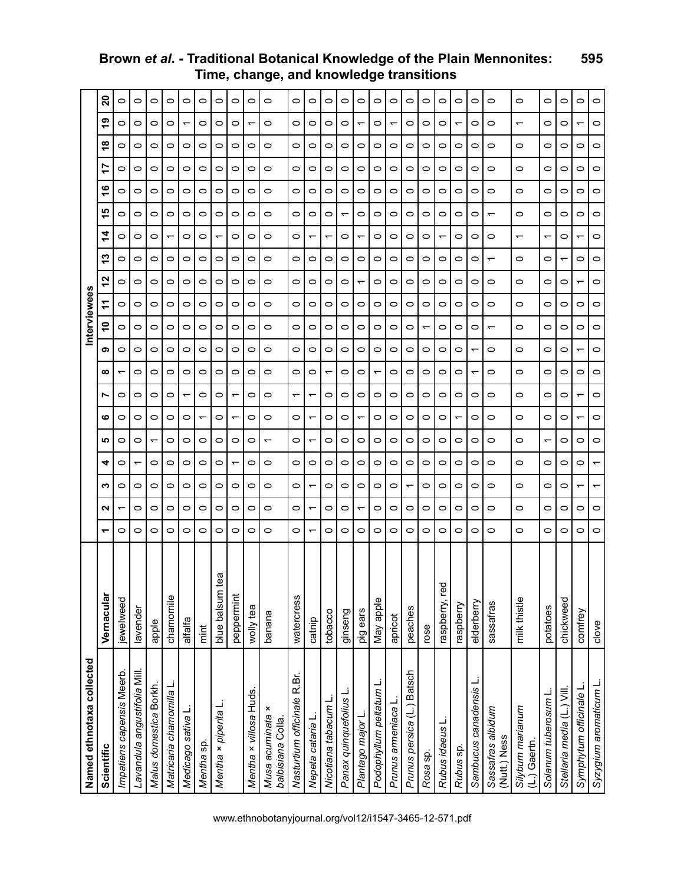| Named ethnotaxa collected                |                  |                          |                          |                          |                          |                          |         |                          |                               |   | Interviewee |         |         |                          |                          |   |         |         |         |         |  |
|------------------------------------------|------------------|--------------------------|--------------------------|--------------------------|--------------------------|--------------------------|---------|--------------------------|-------------------------------|---|-------------|---------|---------|--------------------------|--------------------------|---|---------|---------|---------|---------|--|
| Scientific                               | Vernacular       | ↽                        | ี                        | ო                        | 4                        | ഹ                        | ဖ       | r                        | თ<br>∞                        |   | ᠮ<br>٩      | N       | ო       | 4                        | ഥ                        | ဖ |         | ∞       | თ       | ន       |  |
| Impatiens capensis Meerb.                | jewelweed        | $\circ$                  |                          | 0                        | 0                        | ◯                        | 0       | 0                        | 0                             | 0 | 0           | 0       | 0       | 0                        | 0                        | 0 | 0       | o       | 0       | 0       |  |
| Lavandula angustifolia Mill.             | lavender         | $\circ$                  | 0                        | 0                        | ᠇                        | $\circ$                  | 0       | $\circ$                  | $\circ$<br>0                  | 0 | 0           | $\circ$ | 0       | $\circ$                  | 0                        | 0 | $\circ$ | 0       | 0       | 0       |  |
| Malus domestica Borkh.                   | apple            | $\circ$                  | 0                        | 0                        | 0                        | $\overline{\phantom{0}}$ | 0       | 0                        | $\circ$<br>0                  | 0 | 0           | 0       | 0       | 0                        | 0                        | 0 | $\circ$ | 0       | 0       | 0       |  |
| Matricaria chamomilla L                  | chamomile        | $\circ$                  | 0                        | O                        | 0                        | $\circ$                  | 0       | 0                        | $\circ$<br>0                  | 0 | $\circ$     | 0       | 0       |                          | 0                        | 0 | $\circ$ | 0       | 0       | 0       |  |
| Medicago sativa L.                       | alfalfa          | $\circ$                  | 0                        | 0                        | 0                        | 0                        | 0       | $\overline{\phantom{0}}$ | $\circ$<br>0                  | 0 | 0           | 0       | 0       | 0                        | 0                        | 0 | 0       | 0       | ᠇       | 0       |  |
| Mentha sp.                               | mint             | 0                        | 0                        | 0                        | 0                        | 0                        | ᠇       | 0                        | 0<br>0                        | 0 | 0           | 0       | 0       | 0                        | 0                        | 0 | 0       | 0       | 0       | 0       |  |
| Mentha × piperita L                      | œ<br>blue balsum | $\circ$                  | 0                        | 0                        | 0                        | 0                        | 0       | 0                        | $\circ$<br>0                  | 0 | $\circ$     | 0       | 0       | $\overline{\phantom{0}}$ | 0                        | 0 | $\circ$ | 0       | 0       | 0       |  |
|                                          | peppermint       | $\circ$                  | 0                        | 0                        | ᠆                        | 0                        |         | ᠇                        | 0<br>0                        | 0 | 0           | 0       | 0       | 0                        | 0                        | 0 | 0       | 0       | 0       | O       |  |
| Mentha x villosa Huds.                   | wolly tea        | $\circ$                  | 0                        | 0                        | 0                        | 0                        | 0       | 0                        | 0<br>0                        | 0 | 0           | 0       | 0       | 0                        | 0                        | 0 | 0       | 0       | ᡪ       | 0       |  |
| ×<br>Musa acuminata<br>balbisiana Colla. | banana           | $\circ$                  | 0                        | $\circ$                  | 0                        | $\overline{\phantom{0}}$ | 0       | 0                        | $\circ$<br>0                  | 0 | 0           | 0       | 0       | $\circ$                  | $\circ$                  | 0 | $\circ$ | 0       | 0       | 0       |  |
| Nasturtium officinale R.Br.              | watercress       | $\circ$                  | 0                        | $\circ$                  | 0                        | $\circ$                  | 0       | $\overline{\phantom{0}}$ | $\circ$<br>0                  | 0 | $\circ$     | 0       | $\circ$ | $\circ$                  | $\circ$                  | 0 | $\circ$ | 0       | $\circ$ | 0       |  |
| Nepeta cataria L                         | catnip           | $\overline{\phantom{0}}$ | $\overline{\phantom{0}}$ | $\overline{\phantom{0}}$ | 0                        | ᠇                        |         | ᠇                        | 0<br>0                        | 0 | 0           | 0       | 0       |                          | 0                        | 0 | 0       | 0       | 0       | 0       |  |
| Nicotiana tabacum L                      | tobacco          | 0                        | 0                        | 0                        | 0                        | 0                        | o       | 0                        | 0<br>᠇                        | 0 | 0           | 0       | 0       | ↽                        | 0                        | 0 | 0       | 0       | 0       | 0       |  |
| Panax quinquefolius L                    | ginseng          | $\circ$                  | 0                        | 0                        | 0                        | $\circ$                  | 0       | 0                        | $\circ$<br>0                  | 0 | $\circ$     | 0       | 0       | 0                        | $\overline{\phantom{0}}$ | 0 | $\circ$ | 0       | $\circ$ | 0       |  |
| Plantago major L.                        | pig ears         | $\circ$                  |                          | 0                        | 0                        | $\circ$                  |         | 0                        | $\circ$<br>0                  | 0 | 0           | ᠇       | 0       |                          | 0                        | 0 | $\circ$ | 0       |         | 0       |  |
| Podophyllum peltatum L                   | May apple        | 0                        | 0                        | 0                        | 0                        | 0                        | 0       | 0                        | $\circ$<br>ᡪ                  | 0 | 0           | 0       | 0       | 0                        | 0                        | 0 | 0       | 0       | 0       | 0       |  |
| Prunus armeniaca l                       | apricot          | $\circ$                  | 0                        | 0                        | 0                        | $\circ$                  | 0       | 0                        | $\circ$<br>0                  | 0 | 0           | 0       | $\circ$ | $\circ$                  | 0                        | 0 | $\circ$ | $\circ$ | ᠇       | 0       |  |
| Prunus persica (L.) Batsch               | peaches          | $\circ$                  | 0                        |                          | 0                        | 0                        | 0       | 0                        | $\circ$<br>0                  | 0 | 0           | 0       | 0       | 0                        | 0                        | 0 | 0       | 0       | 0       | 0       |  |
| Rosa sp.                                 | rose             | 0                        | 0                        | 0                        | 0                        | 0                        | 0       | 0                        | 0<br>0                        | ↽ | 0           | 0       | 0       | 0                        | 0                        | 0 | 0       | 0       | 0       | 0       |  |
| Rubus idaeus L                           | raspberry, red   | $\circ$                  | 0                        | 0                        | 0                        | $\circ$                  | 0       | 0                        | $\circ$<br>0                  | 0 | 0           | 0       | 0       | $\overline{\phantom{0}}$ | 0                        | 0 | $\circ$ | 0       | 0       | 0       |  |
| Rubus sp.                                | raspberry        | $\circ$                  | 0                        | 0                        | 0                        | 0                        |         | 0                        | $\circ$<br>0                  | 0 | 0           | 0       | 0       | 0                        | 0                        | 0 | $\circ$ | 0       |         | 0       |  |
| Sambucus canadensis L                    | elderberry       | $\circ$                  | 0                        | 0                        | 0                        | 0                        | 0       | 0                        | $\overline{ }$<br>ᡪ           | 0 | 0           | 0       | 0       | 0                        | 0                        | 0 | 0       | 0       | 0       | 0       |  |
| Sassafras albidum<br>(Nutt.) Ness        | sassafras        | $\circ$                  | 0                        | 0                        | 0                        | $\circ$                  | 0       | 0                        | $\circ$<br>0                  | ᠇ | 0           | 0       | ᡪ       | 0                        | ᠇                        | 0 | $\circ$ | 0       | 0       | 0       |  |
| Silybum marianum<br>(L.) Gaertn.         | milk thistle     | $\circ$                  | 0                        | $\circ$                  | 0                        | 0                        | $\circ$ | $\circ$                  | $\circ$<br>0                  | 0 | 0           | 0       | 0       | ᠇                        | $\circ$                  | 0 | $\circ$ | 0       | ↽       | $\circ$ |  |
| Solanum tuberosum L                      | potatoes         | $\circ$                  | 0                        | $\circ$                  | 0                        | $\overline{\phantom{0}}$ | $\circ$ | 0                        | $\circ$<br>$\circ$            | 0 | $\circ$     | 0       | $\circ$ | $\overline{ }$           | 0                        | 0 | $\circ$ | $\circ$ | $\circ$ | $\circ$ |  |
| Stellaria media (L.) Vill.               | chickweed        | 0                        | 0                        | 0                        | 0                        | 0                        | 0       | 0                        | 0<br>0                        | 0 | 0           | 0       | ᡪ       | 0                        | 0                        | 0 | 0       | 0       | 0       | 0       |  |
| Symphytum officinale L                   | comfrey          | $\circ$                  | 0                        | ᠇                        | 0                        | 0                        |         | ᠇                        | $\overline{\phantom{0}}$<br>0 | 0 | 0           | ᠆       | 0       |                          | 0                        | 0 | 0       | 0       | ᡪ       | 0       |  |
| Syzygium aromaticum L.                   | clove            | $\circ$                  | 0                        | $\overline{\phantom{0}}$ | $\overline{\phantom{0}}$ | $\circ$                  | 0       | 0                        | $\circ$<br>0                  | 0 | $\circ$     | 0       | 0       | $\circ$                  | 0                        | 0 | $\circ$ | 0       | 0       | 0       |  |